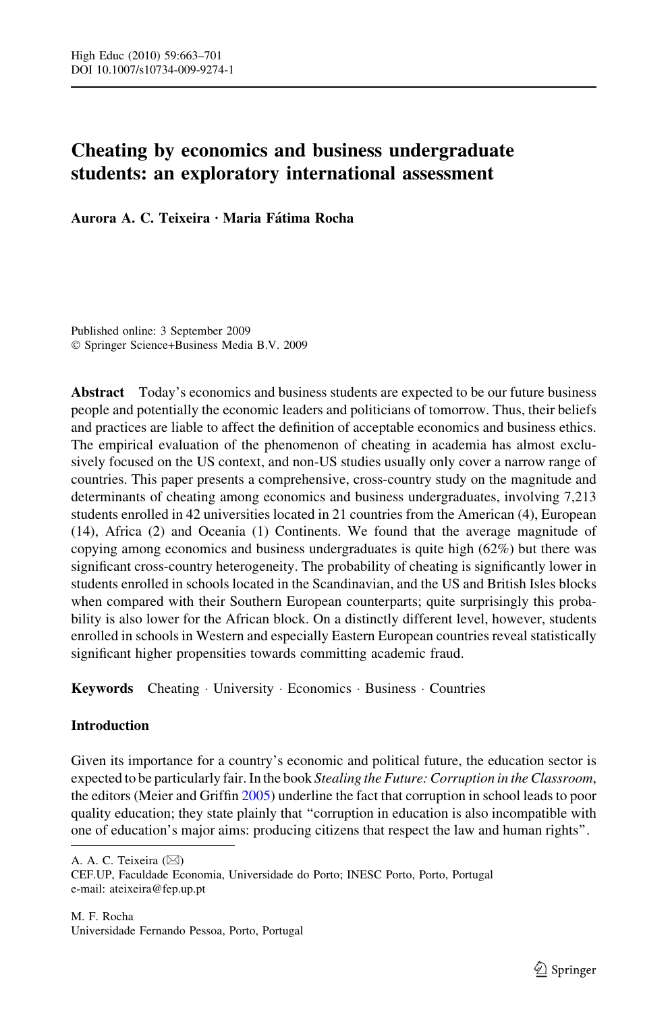# Cheating by economics and business undergraduate students: an exploratory international assessment

Aurora A. C. Teixeira · Maria Fátima Rocha

Published online: 3 September 2009 Springer Science+Business Media B.V. 2009

Abstract Today's economics and business students are expected to be our future business people and potentially the economic leaders and politicians of tomorrow. Thus, their beliefs and practices are liable to affect the definition of acceptable economics and business ethics. The empirical evaluation of the phenomenon of cheating in academia has almost exclusively focused on the US context, and non-US studies usually only cover a narrow range of countries. This paper presents a comprehensive, cross-country study on the magnitude and determinants of cheating among economics and business undergraduates, involving 7,213 students enrolled in 42 universities located in 21 countries from the American (4), European (14), Africa (2) and Oceania (1) Continents. We found that the average magnitude of copying among economics and business undergraduates is quite high (62%) but there was significant cross-country heterogeneity. The probability of cheating is significantly lower in students enrolled in schools located in the Scandinavian, and the US and British Isles blocks when compared with their Southern European counterparts; quite surprisingly this probability is also lower for the African block. On a distinctly different level, however, students enrolled in schools in Western and especially Eastern European countries reveal statistically significant higher propensities towards committing academic fraud.

Keywords Cheating University Economics Business Countries

## **Introduction**

Given its importance for a country's economic and political future, the education sector is expected to be particularly fair. In the book Stealing the Future: Corruption in the Classroom, the editors (Meier and Griffin [2005](#page-37-0)) underline the fact that corruption in school leads to poor quality education; they state plainly that ''corruption in education is also incompatible with one of education's major aims: producing citizens that respect the law and human rights''.

A. A. C. Teixeira ( $\boxtimes$ )

CEF.UP, Faculdade Economia, Universidade do Porto; INESC Porto, Porto, Portugal e-mail: ateixeira@fep.up.pt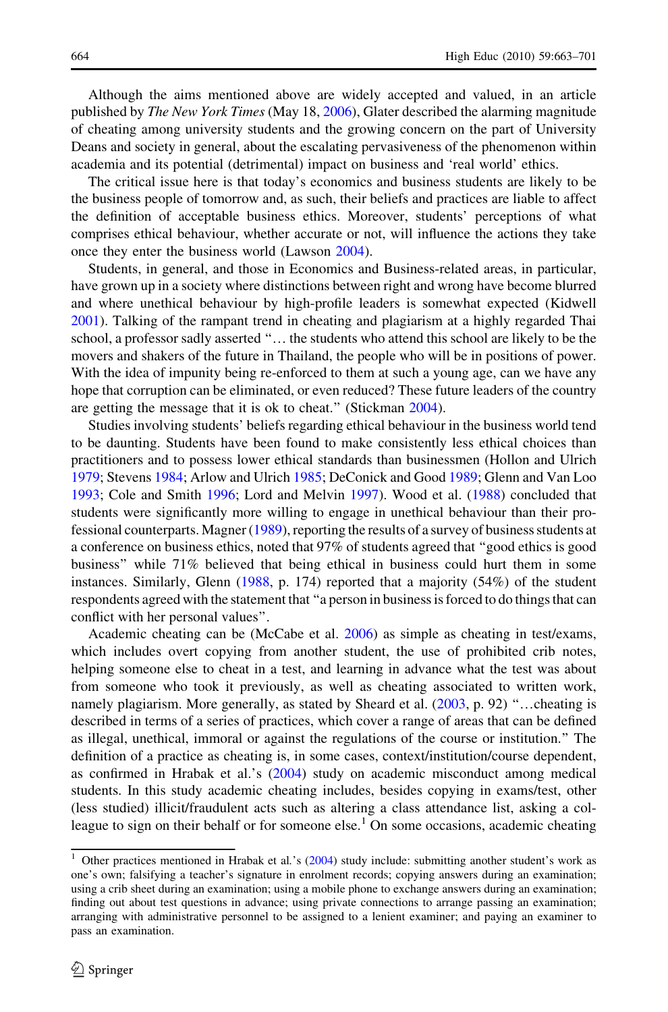Although the aims mentioned above are widely accepted and valued, in an article published by *The New York Times* (May 18, [2006\)](#page-36-0), Glater described the alarming magnitude of cheating among university students and the growing concern on the part of University Deans and society in general, about the escalating pervasiveness of the phenomenon within academia and its potential (detrimental) impact on business and 'real world' ethics.

The critical issue here is that today's economics and business students are likely to be the business people of tomorrow and, as such, their beliefs and practices are liable to affect the definition of acceptable business ethics. Moreover, students' perceptions of what comprises ethical behaviour, whether accurate or not, will influence the actions they take once they enter the business world (Lawson [2004\)](#page-37-0).

Students, in general, and those in Economics and Business-related areas, in particular, have grown up in a society where distinctions between right and wrong have become blurred and where unethical behaviour by high-profile leaders is somewhat expected (Kidwell [2001\)](#page-37-0). Talking of the rampant trend in cheating and plagiarism at a highly regarded Thai school, a professor sadly asserted ''… the students who attend this school are likely to be the movers and shakers of the future in Thailand, the people who will be in positions of power. With the idea of impunity being re-enforced to them at such a young age, can we have any hope that corruption can be eliminated, or even reduced? These future leaders of the country are getting the message that it is ok to cheat.'' (Stickman [2004](#page-38-0)).

Studies involving students' beliefs regarding ethical behaviour in the business world tend to be daunting. Students have been found to make consistently less ethical choices than practitioners and to possess lower ethical standards than businessmen (Hollon and Ulrich [1979;](#page-37-0) Stevens [1984;](#page-38-0) Arlow and Ulrich [1985;](#page-36-0) DeConick and Good [1989](#page-36-0); Glenn and Van Loo [1993;](#page-36-0) Cole and Smith [1996;](#page-36-0) Lord and Melvin [1997](#page-37-0)). Wood et al. ([1988](#page-38-0)) concluded that students were significantly more willing to engage in unethical behaviour than their professional counterparts. Magner ([1989\)](#page-37-0), reporting the results of a survey of business students at a conference on business ethics, noted that 97% of students agreed that ''good ethics is good business'' while 71% believed that being ethical in business could hurt them in some instances. Similarly, Glenn ([1988,](#page-36-0) p. 174) reported that a majority (54%) of the student respondents agreed with the statement that ''a person in business is forced to do things that can conflict with her personal values''.

Academic cheating can be (McCabe et al. [2006\)](#page-37-0) as simple as cheating in test/exams, which includes overt copying from another student, the use of prohibited crib notes, helping someone else to cheat in a test, and learning in advance what the test was about from someone who took it previously, as well as cheating associated to written work, namely plagiarism. More generally, as stated by Sheard et al. ([2003,](#page-38-0) p. 92) "...cheating is described in terms of a series of practices, which cover a range of areas that can be defined as illegal, unethical, immoral or against the regulations of the course or institution.'' The definition of a practice as cheating is, in some cases, context/institution/course dependent, as confirmed in Hrabak et al.'s ([2004\)](#page-37-0) study on academic misconduct among medical students. In this study academic cheating includes, besides copying in exams/test, other (less studied) illicit/fraudulent acts such as altering a class attendance list, asking a colleague to sign on their behalf or for someone else.<sup>1</sup> On some occasions, academic cheating

<sup>&</sup>lt;sup>1</sup> Other practices mentioned in Hrabak et al.'s [\(2004](#page-37-0)) study include: submitting another student's work as one's own; falsifying a teacher's signature in enrolment records; copying answers during an examination; using a crib sheet during an examination; using a mobile phone to exchange answers during an examination; finding out about test questions in advance; using private connections to arrange passing an examination; arranging with administrative personnel to be assigned to a lenient examiner; and paying an examiner to pass an examination.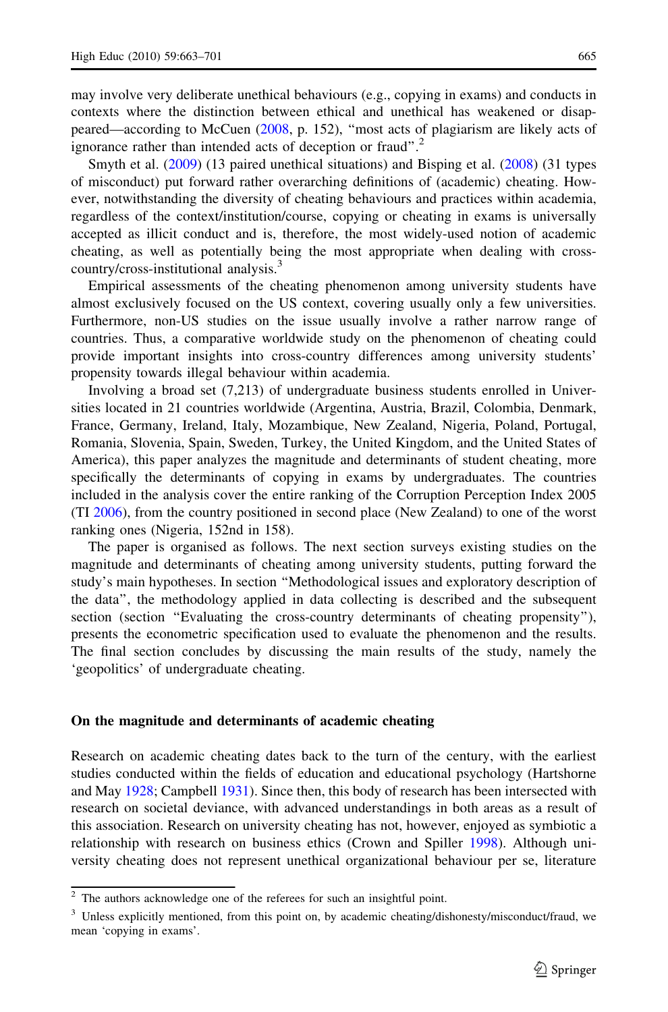may involve very deliberate unethical behaviours (e.g., copying in exams) and conducts in contexts where the distinction between ethical and unethical has weakened or disappeared—according to McCuen [\(2008](#page-37-0), p. 152), ''most acts of plagiarism are likely acts of ignorance rather than intended acts of deception or fraud".<sup>2</sup>

Smyth et al. ([2009\)](#page-38-0) (13 paired unethical situations) and Bisping et al. [\(2008](#page-36-0)) (31 types of misconduct) put forward rather overarching definitions of (academic) cheating. However, notwithstanding the diversity of cheating behaviours and practices within academia, regardless of the context/institution/course, copying or cheating in exams is universally accepted as illicit conduct and is, therefore, the most widely-used notion of academic cheating, as well as potentially being the most appropriate when dealing with crosscountry/cross-institutional analysis.<sup>3</sup>

Empirical assessments of the cheating phenomenon among university students have almost exclusively focused on the US context, covering usually only a few universities. Furthermore, non-US studies on the issue usually involve a rather narrow range of countries. Thus, a comparative worldwide study on the phenomenon of cheating could provide important insights into cross-country differences among university students' propensity towards illegal behaviour within academia.

Involving a broad set (7,213) of undergraduate business students enrolled in Universities located in 21 countries worldwide (Argentina, Austria, Brazil, Colombia, Denmark, France, Germany, Ireland, Italy, Mozambique, New Zealand, Nigeria, Poland, Portugal, Romania, Slovenia, Spain, Sweden, Turkey, the United Kingdom, and the United States of America), this paper analyzes the magnitude and determinants of student cheating, more specifically the determinants of copying in exams by undergraduates. The countries included in the analysis cover the entire ranking of the Corruption Perception Index 2005 (TI [2006\)](#page-38-0), from the country positioned in second place (New Zealand) to one of the worst ranking ones (Nigeria, 152nd in 158).

The paper is organised as follows. The next section surveys existing studies on the magnitude and determinants of cheating among university students, putting forward the study's main hypotheses. In section ''Methodological issues and exploratory description of the data'', the methodology applied in data collecting is described and the subsequent section (section "Evaluating the cross-country determinants of cheating propensity"), presents the econometric specification used to evaluate the phenomenon and the results. The final section concludes by discussing the main results of the study, namely the 'geopolitics' of undergraduate cheating.

#### On the magnitude and determinants of academic cheating

Research on academic cheating dates back to the turn of the century, with the earliest studies conducted within the fields of education and educational psychology (Hartshorne and May [1928](#page-37-0); Campbell [1931](#page-36-0)). Since then, this body of research has been intersected with research on societal deviance, with advanced understandings in both areas as a result of this association. Research on university cheating has not, however, enjoyed as symbiotic a relationship with research on business ethics (Crown and Spiller [1998\)](#page-36-0). Although university cheating does not represent unethical organizational behaviour per se, literature

 $2$  The authors acknowledge one of the referees for such an insightful point.

<sup>&</sup>lt;sup>3</sup> Unless explicitly mentioned, from this point on, by academic cheating/dishonesty/misconduct/fraud, we mean 'copying in exams'.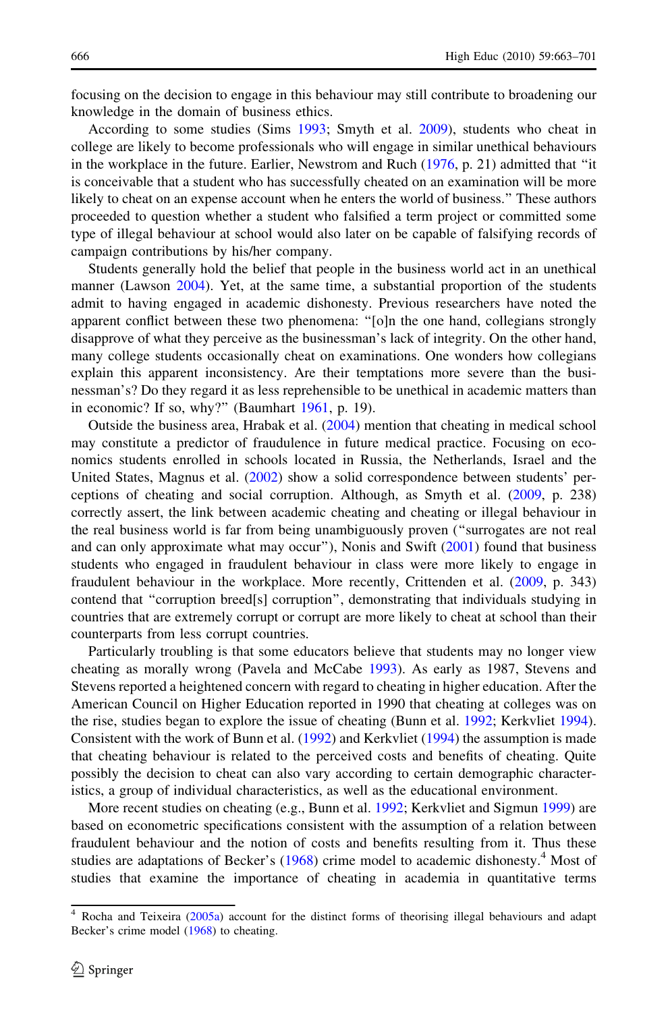focusing on the decision to engage in this behaviour may still contribute to broadening our knowledge in the domain of business ethics.

According to some studies (Sims [1993;](#page-38-0) Smyth et al. [2009\)](#page-38-0), students who cheat in college are likely to become professionals who will engage in similar unethical behaviours in the workplace in the future. Earlier, Newstrom and Ruch [\(1976](#page-38-0), p. 21) admitted that ''it is conceivable that a student who has successfully cheated on an examination will be more likely to cheat on an expense account when he enters the world of business.'' These authors proceeded to question whether a student who falsified a term project or committed some type of illegal behaviour at school would also later on be capable of falsifying records of campaign contributions by his/her company.

Students generally hold the belief that people in the business world act in an unethical manner (Lawson [2004](#page-37-0)). Yet, at the same time, a substantial proportion of the students admit to having engaged in academic dishonesty. Previous researchers have noted the apparent conflict between these two phenomena: ''[o]n the one hand, collegians strongly disapprove of what they perceive as the businessman's lack of integrity. On the other hand, many college students occasionally cheat on examinations. One wonders how collegians explain this apparent inconsistency. Are their temptations more severe than the businessman's? Do they regard it as less reprehensible to be unethical in academic matters than in economic? If so, why?" (Baumhart [1961,](#page-36-0) p. 19).

Outside the business area, Hrabak et al. ([2004\)](#page-37-0) mention that cheating in medical school may constitute a predictor of fraudulence in future medical practice. Focusing on economics students enrolled in schools located in Russia, the Netherlands, Israel and the United States, Magnus et al. [\(2002\)](#page-37-0) show a solid correspondence between students' perceptions of cheating and social corruption. Although, as Smyth et al. ([2009](#page-38-0), p. 238) correctly assert, the link between academic cheating and cheating or illegal behaviour in the real business world is far from being unambiguously proven (''surrogates are not real and can only approximate what may occur''), Nonis and Swift [\(2001](#page-38-0)) found that business students who engaged in fraudulent behaviour in class were more likely to engage in fraudulent behaviour in the workplace. More recently, Crittenden et al. ([2009,](#page-36-0) p. 343) contend that ''corruption breed[s] corruption'', demonstrating that individuals studying in countries that are extremely corrupt or corrupt are more likely to cheat at school than their counterparts from less corrupt countries.

Particularly troubling is that some educators believe that students may no longer view cheating as morally wrong (Pavela and McCabe [1993\)](#page-38-0). As early as 1987, Stevens and Stevens reported a heightened concern with regard to cheating in higher education. After the American Council on Higher Education reported in 1990 that cheating at colleges was on the rise, studies began to explore the issue of cheating (Bunn et al. [1992](#page-36-0); Kerkvliet [1994](#page-37-0)). Consistent with the work of Bunn et al. [\(1992](#page-36-0)) and Kerkvliet [\(1994](#page-37-0)) the assumption is made that cheating behaviour is related to the perceived costs and benefits of cheating. Quite possibly the decision to cheat can also vary according to certain demographic characteristics, a group of individual characteristics, as well as the educational environment.

More recent studies on cheating (e.g., Bunn et al. [1992;](#page-36-0) Kerkvliet and Sigmun [1999](#page-37-0)) are based on econometric specifications consistent with the assumption of a relation between fraudulent behaviour and the notion of costs and benefits resulting from it. Thus these studies are adaptations of Becker's  $(1968)$  $(1968)$  crime model to academic dishonesty.<sup>4</sup> Most of studies that examine the importance of cheating in academia in quantitative terms

<sup>4</sup> Rocha and Teixeira [\(2005a\)](#page-38-0) account for the distinct forms of theorising illegal behaviours and adapt Becker's crime model ([1968\)](#page-36-0) to cheating.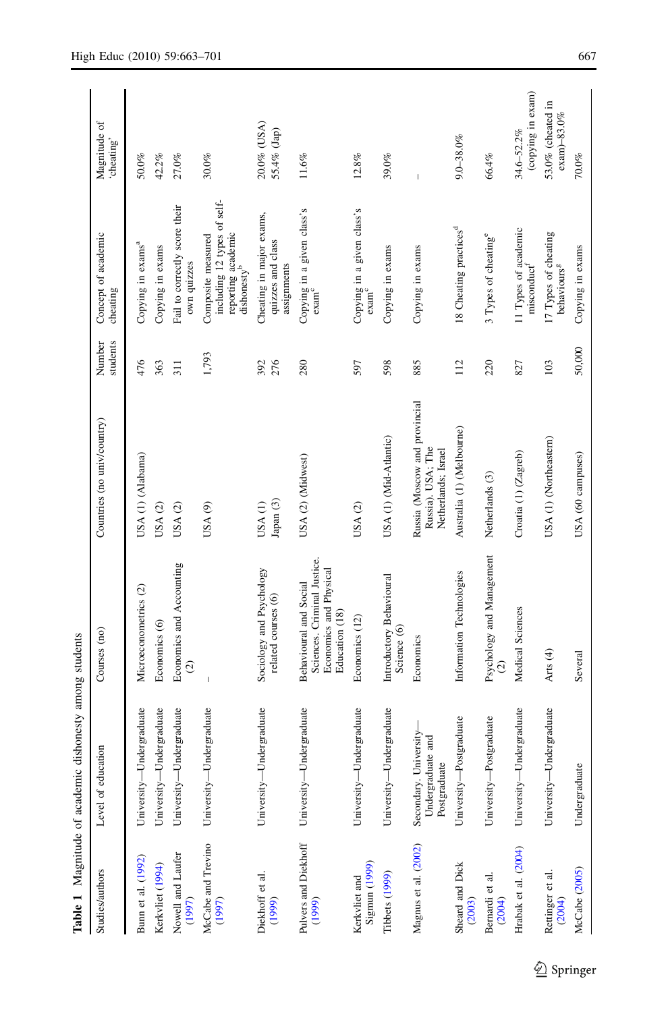<span id="page-4-0"></span>

| Table 1 Magnitude of academic  | dishonesty among students                                   |                                                                                                   |                                                                           |                    |                                                                                                    |                                  |
|--------------------------------|-------------------------------------------------------------|---------------------------------------------------------------------------------------------------|---------------------------------------------------------------------------|--------------------|----------------------------------------------------------------------------------------------------|----------------------------------|
| <b>Studies/authors</b>         | Level of education                                          | Courses (no)                                                                                      | Countries (no univ/country)                                               | Number<br>students | Concept of academic<br>cheating                                                                    | Magnitude of<br>'cheating'       |
| Bunn et al. (1992)             | Undergraduate<br>University-                                | Microeconometrics (2)                                                                             | USA (1) (Alabama)                                                         | 476                | Copying in exams <sup>a</sup>                                                                      | 50.0%                            |
| Kerkvliet (1994)               | Undergraduate<br>University-                                | Economics (6)                                                                                     | USA $(2)$                                                                 | 363                | Copying in exams                                                                                   | 42.2%                            |
| Nowell and Laufer<br>(1997)    | Undergraduate<br>University-                                | Economics and Accounting<br>$\widehat{c}$                                                         | USA (2)                                                                   | 311                | Fail to correctly score their<br>own quizzes                                                       | 27.0%                            |
| McCabe and Trevino<br>(1997)   | Undergraduate<br>University                                 |                                                                                                   | USA <sub>(9)</sub>                                                        | 1,793              | including 12 types of self-<br>reporting academic<br>dishonesty <sup>b</sup><br>Composite measured | $30.0\%$                         |
| Diekhoff et al.<br>(1999)      | Undergraduate<br>University-                                | Sociology and Psychology<br>related courses (6)                                                   | Japan (3)<br>USA <sub>(1)</sub>                                           | 392<br>276         | Cheating in major exams,<br>quizzes and class<br>assignments                                       | 20.0% (USA)<br>55.4% (Jap)       |
| Pulvers and Diekhoff<br>(1999) | Undergraduate<br>University-                                | Sciences. Criminal Justice.<br>Economics and Physical<br>Behavioural and Social<br>Education (18) | USA (2) (Midwest)                                                         | 280                | Copying in a given class's<br>exam <sup>2</sup>                                                    | $11.6\%$                         |
| Sigmun (1999)<br>Kerkvliet and | Undergraduate<br>University-                                | Economics (12)                                                                                    | USA <sub>(2)</sub>                                                        | 597                | Copying in a given class's<br>exam <sup>e</sup>                                                    | $12.8\%$                         |
| Tibbets (1999)                 | Undergraduate<br>University-                                | Introductory Behavioural<br>Science (6)                                                           | USA (1) (Mid-Atlantic)                                                    | 598                | Copying in exams                                                                                   | 39.0%                            |
| Magnus et al. (2002)           | Secondary. University-<br>Undergraduate and<br>Postgraduate | Economics                                                                                         | Russia (Moscow and provincial<br>Russia). USA; The<br>Netherlands; Israel | 885                | Copying in exams                                                                                   | $\overline{1}$                   |
| Sheard and Dick<br>(2003)      | Postgraduate<br>University-                                 | Information Technologies                                                                          | Australia (1) (Melbourne)                                                 | 112                | 18 Cheating practices <sup>d</sup>                                                                 | $9.0 - 38.0\%$                   |
| ಸ<br>Bernardi et<br>(2004)     | Postgraduate<br>University-                                 | Psychology and Management                                                                         | Netherlands (3)                                                           | 220                | 3 Types of cheating <sup>e</sup>                                                                   | 66.4%                            |
| Hrabak et al. (2004)           | Undergraduate<br>University-                                | Medical Sciences                                                                                  | Croatia (1) (Zagreb)                                                      | 827                | 11 Types of academic<br>misconduct <sup>f</sup>                                                    | (copying in exam)<br>34.6-52.2%  |
| Rettinger et al.<br>(2004)     | Undergraduate<br>University-                                | Arts $(4)$                                                                                        | USA (1) (Northeastern)                                                    | 103                | 17 Types of cheating<br>behaviours <sup>g</sup>                                                    | 53.0% (cheated in<br>exam)-83.0% |
| McCabe (2005)                  | Undergraduate                                               | Several                                                                                           | USA (60 campuses)                                                         | 50,000             | Copying in exams                                                                                   | $70.0\%$                         |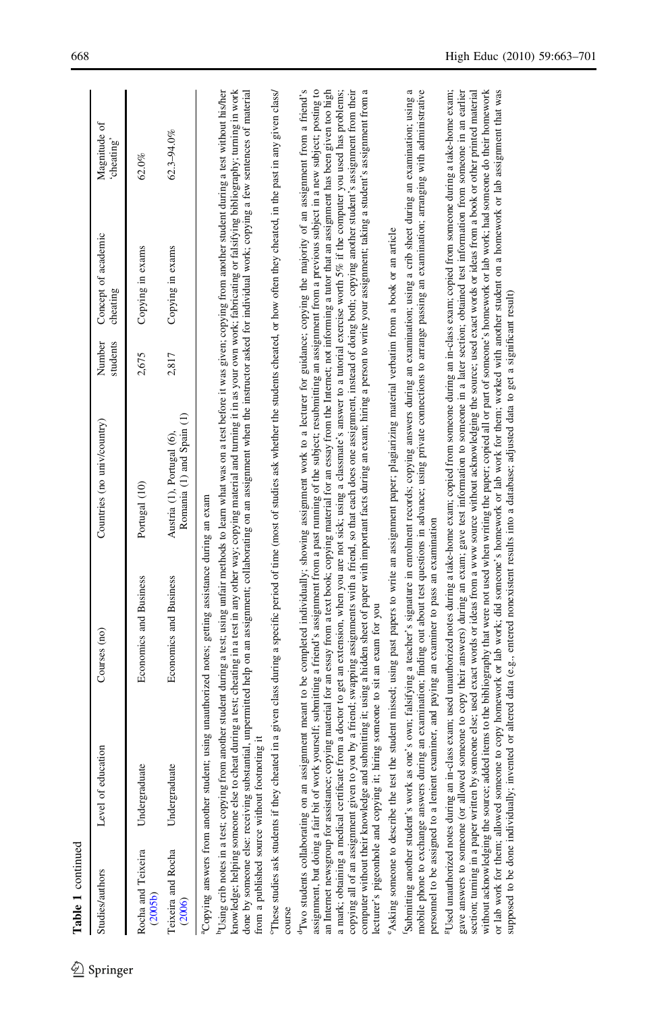| Table 1 continued                                |                                                                             |                                                                                                    |                                                                                                                                                                                                                                                                                                                                                                                                                                                                                                                                                                                                                                                                                                                                                                                                                                                                                                                                                                                                                                                                                                                                                                                                  |                    |                                 |                            |
|--------------------------------------------------|-----------------------------------------------------------------------------|----------------------------------------------------------------------------------------------------|--------------------------------------------------------------------------------------------------------------------------------------------------------------------------------------------------------------------------------------------------------------------------------------------------------------------------------------------------------------------------------------------------------------------------------------------------------------------------------------------------------------------------------------------------------------------------------------------------------------------------------------------------------------------------------------------------------------------------------------------------------------------------------------------------------------------------------------------------------------------------------------------------------------------------------------------------------------------------------------------------------------------------------------------------------------------------------------------------------------------------------------------------------------------------------------------------|--------------------|---------------------------------|----------------------------|
| Studies/authors                                  | Level of education                                                          | Courses (no)                                                                                       | Countries (no univ/country)                                                                                                                                                                                                                                                                                                                                                                                                                                                                                                                                                                                                                                                                                                                                                                                                                                                                                                                                                                                                                                                                                                                                                                      | students<br>Number | Concept of academic<br>cheating | Magnitude of<br>'cheating' |
| Rocha and Teixeira<br>(2005b)                    | Undergraduate                                                               | Economics and Business                                                                             | Portugal (10)                                                                                                                                                                                                                                                                                                                                                                                                                                                                                                                                                                                                                                                                                                                                                                                                                                                                                                                                                                                                                                                                                                                                                                                    | 2,675              | Copying in exams                | $62.0\%$                   |
| Teixeira and Rocha<br>(2006)                     | Undergraduate                                                               | <b>Economics and Business</b>                                                                      | Romania (1) and Spain (1)<br>Austria (1), Portugal (6).                                                                                                                                                                                                                                                                                                                                                                                                                                                                                                                                                                                                                                                                                                                                                                                                                                                                                                                                                                                                                                                                                                                                          | 2,817              | Copying in exams                | $62.3 - 94.0\%$            |
|                                                  |                                                                             | "Copying answers from another student; using unauthorized notes; getting assistance during an exam |                                                                                                                                                                                                                                                                                                                                                                                                                                                                                                                                                                                                                                                                                                                                                                                                                                                                                                                                                                                                                                                                                                                                                                                                  |                    |                                 |                            |
|                                                  | from a published source without footnoting it                               |                                                                                                    | done by someone else: receiving substantial, unpermitted help on an assignment, collaborating on an assignment when the instructor asked for individual work; copying a few sentences of material<br>"Using crib notes in a test; copying from another student during a test; using unfair methods to learn what was on a test before it was given; copying from another student during a test without his/her<br>knowledge; helping someone else to cheat during a test; cheating in a test in any other way; copying material and turning it in as your own work; fabricating or falsifying bibliography; turning in work                                                                                                                                                                                                                                                                                                                                                                                                                                                                                                                                                                      |                    |                                 |                            |
| course                                           |                                                                             |                                                                                                    | These studies ask students if they cheated in a given class during a specific period of time (most of studies ask whether the students cheated, or how often they cheated, in the past in any given class/                                                                                                                                                                                                                                                                                                                                                                                                                                                                                                                                                                                                                                                                                                                                                                                                                                                                                                                                                                                       |                    |                                 |                            |
| computer without their knowledge and             | lecturer's pigeonhole and copying it; hiring someone to sit an exam for you |                                                                                                    | Two students collaborating on an assignment meant to be completed individually; showing assignment work to a lecturer for guidance; copying the majority of an assignment from a friend's<br>assignment, but doing a fair bit of work yourself; submitting a friend's assignment from a past numing of the subject; resubmitting an assignment from a previous subject in a new subject; posting to<br>submitting it, using a hidden sheet of paper with important facts during an exam; hiring a person to write your assignment; taking a student's assignment from a<br>a mark; obtaining a medical certificate from a doctor to get an extension, when you are not sick; using a classmate's answer to a tutorial exercise worth 5% if the computer you used has problems;<br>an Internet newsgroup for assistance; copying material for an essay from a text book; copying material for an essay from the Internet; not informing a tutor that an assignment has been given too high<br>copying all of an assignment given to you by a friend; swapping assignments with a friend, so that each does one assignment, instead of doing both; copying another student's assignment from their |                    |                                 |                            |
| <sup>e</sup> Asking someone to describe the test |                                                                             |                                                                                                    | the student missed; using past papers to write an assignment paper; plagiarizing material verbatim from a book or an article                                                                                                                                                                                                                                                                                                                                                                                                                                                                                                                                                                                                                                                                                                                                                                                                                                                                                                                                                                                                                                                                     |                    |                                 |                            |
| personnel to be assigned to a lenient            |                                                                             | examiner, and paying an examiner to pass an examination                                            | Submitting another student's work as one's own; falsifying a teacher's signature in enrolment records; copying answers during an examination; using a crib sheet during an examination; using a<br>mobile phone to exchange answers during an examination; finding out about test questions in advance; using private connections to arrange passing an examination; arranging with administrative                                                                                                                                                                                                                                                                                                                                                                                                                                                                                                                                                                                                                                                                                                                                                                                               |                    |                                 |                            |
| gave answers to someone (or allowed              |                                                                             |                                                                                                    | section; turning in a paper written by someone else; used exact words or ideas from a www source without acknowledging the source; used exact words or ideas from a book or other printed material<br>or lab work for them; allowed someone to copy homework or lab work; did someone's homework or lab work for them; worked with another student on a homework or lab assignment that was<br>someone to copy their answers) during an exam; gave test information to someone in a later section; obtained test information from someone in an earlier<br>without acknowledging the source; added items to the bibliography that were not used when writing the paper; copied all or part of someone's homework or lab work; had someone do their homework<br>Used unauthorized notes during an in-class exam; used unauthorized notes during a take-home exam; copied from someone during an in-class exam; copied from someone during a take-home exam;<br>supposed to be done individually; invented or altered data (e.g., entered nonexistent results into a database; adjusted data to get a significant result)                                                                          |                    |                                 |                            |
|                                                  |                                                                             |                                                                                                    |                                                                                                                                                                                                                                                                                                                                                                                                                                                                                                                                                                                                                                                                                                                                                                                                                                                                                                                                                                                                                                                                                                                                                                                                  |                    |                                 |                            |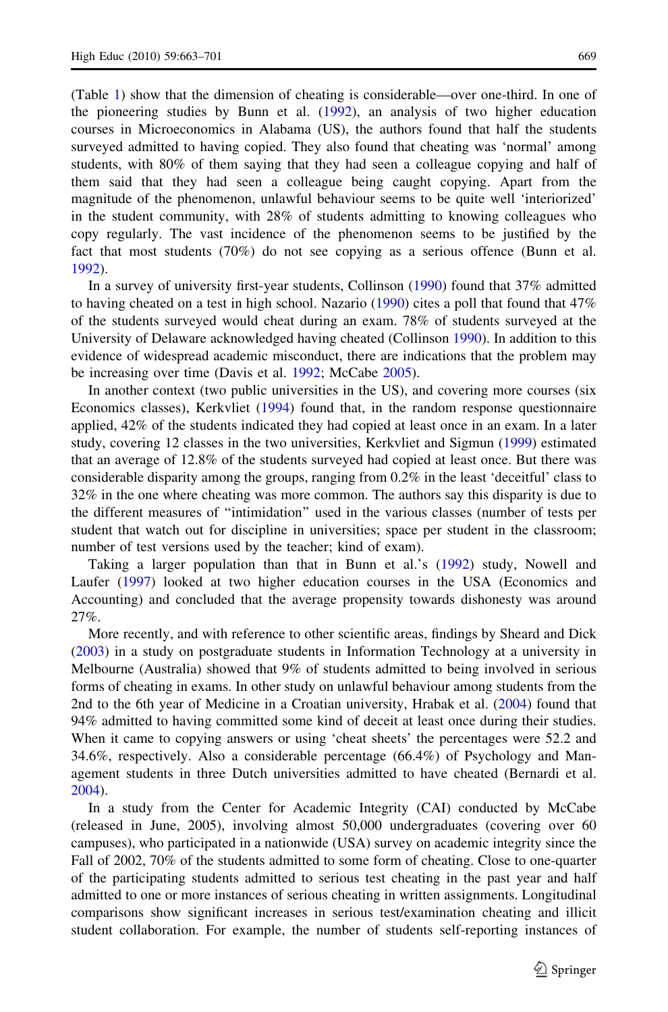(Table [1](#page-4-0)) show that the dimension of cheating is considerable—over one-third. In one of the pioneering studies by Bunn et al. ([1992\)](#page-36-0), an analysis of two higher education courses in Microeconomics in Alabama (US), the authors found that half the students surveyed admitted to having copied. They also found that cheating was 'normal' among students, with 80% of them saying that they had seen a colleague copying and half of them said that they had seen a colleague being caught copying. Apart from the magnitude of the phenomenon, unlawful behaviour seems to be quite well 'interiorized' in the student community, with 28% of students admitting to knowing colleagues who copy regularly. The vast incidence of the phenomenon seems to be justified by the fact that most students (70%) do not see copying as a serious offence (Bunn et al. [1992\)](#page-36-0).

In a survey of university first-year students, Collinson ([1990\)](#page-36-0) found that 37% admitted to having cheated on a test in high school. Nazario [\(1990](#page-38-0)) cites a poll that found that 47% of the students surveyed would cheat during an exam. 78% of students surveyed at the University of Delaware acknowledged having cheated (Collinson [1990](#page-36-0)). In addition to this evidence of widespread academic misconduct, there are indications that the problem may be increasing over time (Davis et al. [1992;](#page-36-0) McCabe [2005\)](#page-37-0).

In another context (two public universities in the US), and covering more courses (six Economics classes), Kerkvliet ([1994\)](#page-37-0) found that, in the random response questionnaire applied, 42% of the students indicated they had copied at least once in an exam. In a later study, covering 12 classes in the two universities, Kerkvliet and Sigmun [\(1999](#page-37-0)) estimated that an average of 12.8% of the students surveyed had copied at least once. But there was considerable disparity among the groups, ranging from 0.2% in the least 'deceitful' class to 32% in the one where cheating was more common. The authors say this disparity is due to the different measures of ''intimidation'' used in the various classes (number of tests per student that watch out for discipline in universities; space per student in the classroom; number of test versions used by the teacher; kind of exam).

Taking a larger population than that in Bunn et al.'s [\(1992\)](#page-36-0) study, Nowell and Laufer [\(1997](#page-38-0)) looked at two higher education courses in the USA (Economics and Accounting) and concluded that the average propensity towards dishonesty was around 27%.

More recently, and with reference to other scientific areas, findings by Sheard and Dick ([2003\)](#page-38-0) in a study on postgraduate students in Information Technology at a university in Melbourne (Australia) showed that 9% of students admitted to being involved in serious forms of cheating in exams. In other study on unlawful behaviour among students from the 2nd to the 6th year of Medicine in a Croatian university, Hrabak et al. ([2004\)](#page-37-0) found that 94% admitted to having committed some kind of deceit at least once during their studies. When it came to copying answers or using 'cheat sheets' the percentages were 52.2 and 34.6%, respectively. Also a considerable percentage (66.4%) of Psychology and Management students in three Dutch universities admitted to have cheated (Bernardi et al. [2004\)](#page-36-0).

In a study from the Center for Academic Integrity (CAI) conducted by McCabe (released in June, 2005), involving almost 50,000 undergraduates (covering over 60 campuses), who participated in a nationwide (USA) survey on academic integrity since the Fall of 2002, 70% of the students admitted to some form of cheating. Close to one-quarter of the participating students admitted to serious test cheating in the past year and half admitted to one or more instances of serious cheating in written assignments. Longitudinal comparisons show significant increases in serious test/examination cheating and illicit student collaboration. For example, the number of students self-reporting instances of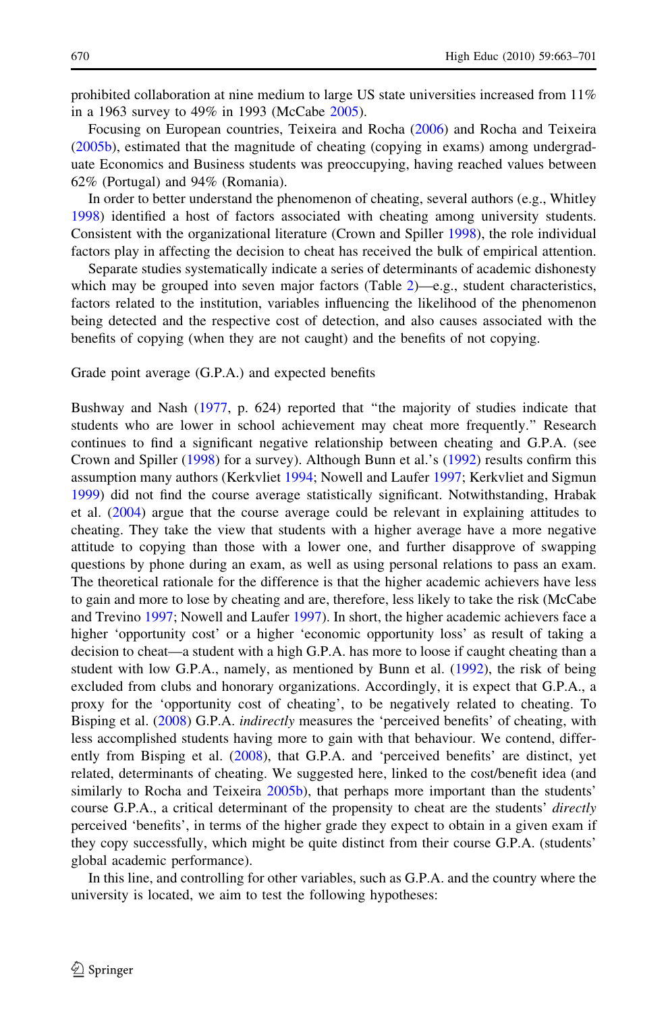prohibited collaboration at nine medium to large US state universities increased from 11% in a 1963 survey to 49% in 1993 (McCabe [2005](#page-37-0)).

Focusing on European countries, Teixeira and Rocha [\(2006](#page-38-0)) and Rocha and Teixeira ([2005b\)](#page-38-0), estimated that the magnitude of cheating (copying in exams) among undergraduate Economics and Business students was preoccupying, having reached values between 62% (Portugal) and 94% (Romania).

In order to better understand the phenomenon of cheating, several authors (e.g., Whitley [1998\)](#page-38-0) identified a host of factors associated with cheating among university students. Consistent with the organizational literature (Crown and Spiller [1998\)](#page-36-0), the role individual factors play in affecting the decision to cheat has received the bulk of empirical attention.

Separate studies systematically indicate a series of determinants of academic dishonesty which may be grouped into seven major factors (Table [2](#page-8-0))—e.g., student characteristics, factors related to the institution, variables influencing the likelihood of the phenomenon being detected and the respective cost of detection, and also causes associated with the benefits of copying (when they are not caught) and the benefits of not copying.

Grade point average (G.P.A.) and expected benefits

Bushway and Nash ([1977,](#page-36-0) p. 624) reported that ''the majority of studies indicate that students who are lower in school achievement may cheat more frequently.'' Research continues to find a significant negative relationship between cheating and G.P.A. (see Crown and Spiller ([1998\)](#page-36-0) for a survey). Although Bunn et al.'s ([1992\)](#page-36-0) results confirm this assumption many authors (Kerkvliet [1994](#page-37-0); Nowell and Laufer [1997;](#page-38-0) Kerkvliet and Sigmun [1999\)](#page-37-0) did not find the course average statistically significant. Notwithstanding, Hrabak et al. ([2004\)](#page-37-0) argue that the course average could be relevant in explaining attitudes to cheating. They take the view that students with a higher average have a more negative attitude to copying than those with a lower one, and further disapprove of swapping questions by phone during an exam, as well as using personal relations to pass an exam. The theoretical rationale for the difference is that the higher academic achievers have less to gain and more to lose by cheating and are, therefore, less likely to take the risk (McCabe and Trevino [1997](#page-37-0); Nowell and Laufer [1997\)](#page-38-0). In short, the higher academic achievers face a higher 'opportunity cost' or a higher 'economic opportunity loss' as result of taking a decision to cheat—a student with a high G.P.A. has more to loose if caught cheating than a student with low G.P.A., namely, as mentioned by Bunn et al. [\(1992](#page-36-0)), the risk of being excluded from clubs and honorary organizations. Accordingly, it is expect that G.P.A., a proxy for the 'opportunity cost of cheating', to be negatively related to cheating. To Bisping et al. ([2008\)](#page-36-0) G.P.A. *indirectly* measures the 'perceived benefits' of cheating, with less accomplished students having more to gain with that behaviour. We contend, differently from Bisping et al. [\(2008](#page-36-0)), that G.P.A. and 'perceived benefits' are distinct, yet related, determinants of cheating. We suggested here, linked to the cost/benefit idea (and similarly to Rocha and Teixeira [2005b](#page-38-0)), that perhaps more important than the students' course G.P.A., a critical determinant of the propensity to cheat are the students' *directly* perceived 'benefits', in terms of the higher grade they expect to obtain in a given exam if they copy successfully, which might be quite distinct from their course G.P.A. (students' global academic performance).

In this line, and controlling for other variables, such as G.P.A. and the country where the university is located, we aim to test the following hypotheses: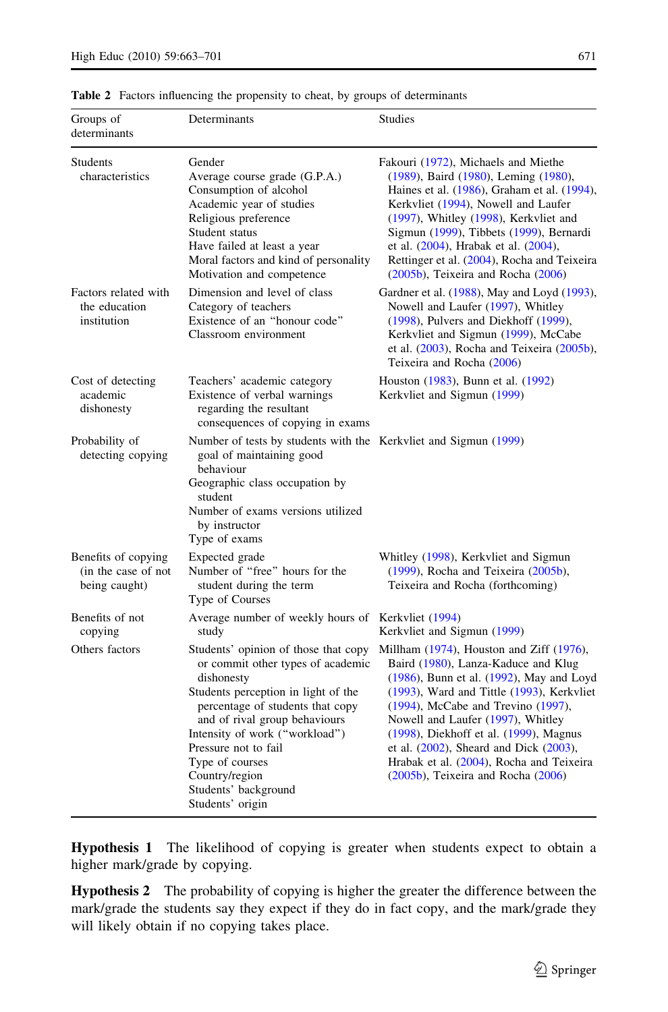| Groups of<br>determinants                                   | Determinants                                                                                                                                                                                                                                                                                                                                   | <b>Studies</b>                                                                                                                                                                                                                                                                                                                                                                                                                       |
|-------------------------------------------------------------|------------------------------------------------------------------------------------------------------------------------------------------------------------------------------------------------------------------------------------------------------------------------------------------------------------------------------------------------|--------------------------------------------------------------------------------------------------------------------------------------------------------------------------------------------------------------------------------------------------------------------------------------------------------------------------------------------------------------------------------------------------------------------------------------|
| <b>Students</b><br>characteristics                          | Gender<br>Average course grade (G.P.A.)<br>Consumption of alcohol<br>Academic year of studies<br>Religious preference<br>Student status<br>Have failed at least a year<br>Moral factors and kind of personality<br>Motivation and competence                                                                                                   | Fakouri (1972), Michaels and Miethe<br>(1989), Baird (1980), Leming (1980),<br>Haines et al. (1986), Graham et al. (1994),<br>Kerkvliet (1994), Nowell and Laufer<br>(1997), Whitley (1998), Kerkvliet and<br>Sigmun (1999), Tibbets (1999), Bernardi<br>et al. (2004), Hrabak et al. (2004),<br>Rettinger et al. (2004), Rocha and Teixeira<br>$(2005b)$ , Teixeira and Rocha $(2006)$                                              |
| Factors related with<br>the education<br>institution        | Dimension and level of class<br>Category of teachers<br>Existence of an "honour code"<br>Classroom environment                                                                                                                                                                                                                                 | Gardner et al. (1988), May and Loyd (1993),<br>Nowell and Laufer (1997), Whitley<br>$(1998)$ , Pulvers and Diekhoff $(1999)$ ,<br>Kerkvliet and Sigmun (1999), McCabe<br>et al. $(2003)$ , Rocha and Teixeira $(2005b)$ ,<br>Teixeira and Rocha (2006)                                                                                                                                                                               |
| Cost of detecting<br>academic<br>dishonesty                 | Teachers' academic category<br>Existence of verbal warnings<br>regarding the resultant<br>consequences of copying in exams                                                                                                                                                                                                                     | Houston (1983), Bunn et al. (1992)<br>Kerkvliet and Sigmun (1999)                                                                                                                                                                                                                                                                                                                                                                    |
| Probability of<br>detecting copying                         | Number of tests by students with the Kerkvliet and Sigmun (1999)<br>goal of maintaining good<br>behaviour<br>Geographic class occupation by<br>student<br>Number of exams versions utilized<br>by instructor<br>Type of exams                                                                                                                  |                                                                                                                                                                                                                                                                                                                                                                                                                                      |
| Benefits of copying<br>(in the case of not<br>being caught) | Expected grade<br>Number of "free" hours for the<br>student during the term<br>Type of Courses                                                                                                                                                                                                                                                 | Whitley (1998), Kerkvliet and Sigmun<br>$(1999)$ , Rocha and Teixeira $(2005b)$ ,<br>Teixeira and Rocha (forthcoming)                                                                                                                                                                                                                                                                                                                |
| Benefits of not<br>copying                                  | Average number of weekly hours of Kerkvliet (1994)<br>study                                                                                                                                                                                                                                                                                    | Kerkvliet and Sigmun (1999)                                                                                                                                                                                                                                                                                                                                                                                                          |
| Others factors                                              | Students' opinion of those that copy<br>or commit other types of academic<br>dishonesty<br>Students perception in light of the<br>percentage of students that copy<br>and of rival group behaviours<br>Intensity of work ("workload")<br>Pressure not to fail<br>Type of courses<br>Country/region<br>Students' background<br>Students' origin | Millham $(1974)$ , Houston and Ziff $(1976)$ ,<br>Baird (1980), Lanza-Kaduce and Klug<br>(1986), Bunn et al. (1992), May and Loyd<br>(1993), Ward and Tittle (1993), Kerkvliet<br>(1994), McCabe and Trevino (1997),<br>Nowell and Laufer (1997), Whitley<br>(1998), Diekhoff et al. (1999), Magnus<br>et al. (2002), Sheard and Dick (2003),<br>Hrabak et al. (2004), Rocha and Teixeira<br>$(2005b)$ , Teixeira and Rocha $(2006)$ |

<span id="page-8-0"></span>Table 2 Factors influencing the propensity to cheat, by groups of determinants

Hypothesis 1 The likelihood of copying is greater when students expect to obtain a higher mark/grade by copying.

Hypothesis 2 The probability of copying is higher the greater the difference between the mark/grade the students say they expect if they do in fact copy, and the mark/grade they will likely obtain if no copying takes place.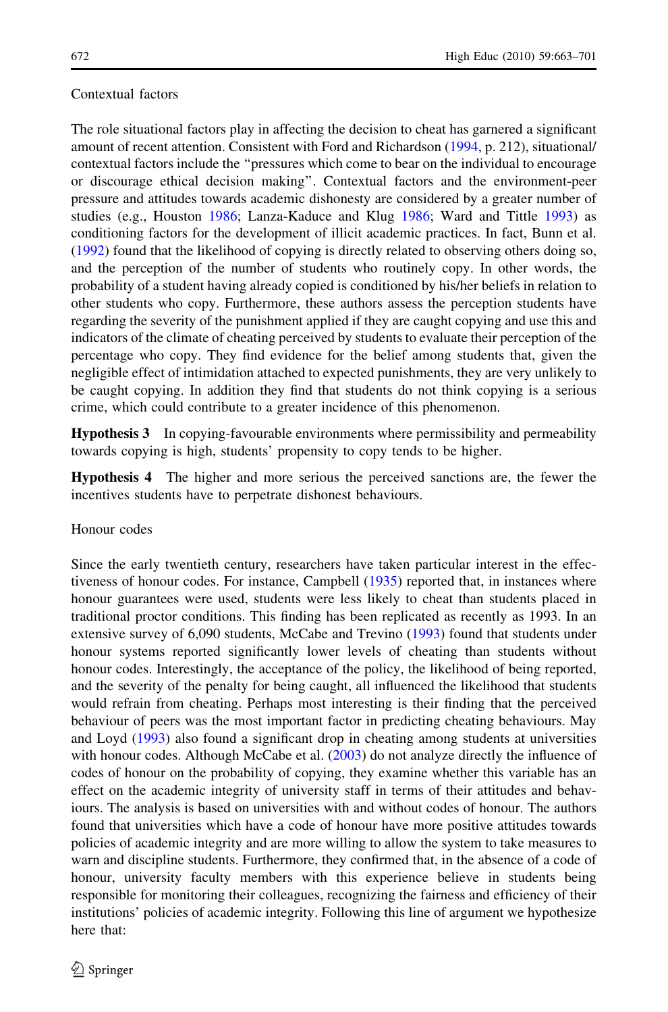## Contextual factors

The role situational factors play in affecting the decision to cheat has garnered a significant amount of recent attention. Consistent with Ford and Richardson ([1994,](#page-36-0) p. 212), situational/ contextual factors include the ''pressures which come to bear on the individual to encourage or discourage ethical decision making''. Contextual factors and the environment-peer pressure and attitudes towards academic dishonesty are considered by a greater number of studies (e.g., Houston [1986](#page-37-0); Lanza-Kaduce and Klug [1986;](#page-37-0) Ward and Tittle [1993](#page-38-0)) as conditioning factors for the development of illicit academic practices. In fact, Bunn et al. ([1992\)](#page-36-0) found that the likelihood of copying is directly related to observing others doing so, and the perception of the number of students who routinely copy. In other words, the probability of a student having already copied is conditioned by his/her beliefs in relation to other students who copy. Furthermore, these authors assess the perception students have regarding the severity of the punishment applied if they are caught copying and use this and indicators of the climate of cheating perceived by students to evaluate their perception of the percentage who copy. They find evidence for the belief among students that, given the negligible effect of intimidation attached to expected punishments, they are very unlikely to be caught copying. In addition they find that students do not think copying is a serious crime, which could contribute to a greater incidence of this phenomenon.

Hypothesis 3 In copying-favourable environments where permissibility and permeability towards copying is high, students' propensity to copy tends to be higher.

Hypothesis 4 The higher and more serious the perceived sanctions are, the fewer the incentives students have to perpetrate dishonest behaviours.

Honour codes

Since the early twentieth century, researchers have taken particular interest in the effectiveness of honour codes. For instance, Campbell ([1935\)](#page-36-0) reported that, in instances where honour guarantees were used, students were less likely to cheat than students placed in traditional proctor conditions. This finding has been replicated as recently as 1993. In an extensive survey of 6,090 students, McCabe and Trevino ([1993\)](#page-37-0) found that students under honour systems reported significantly lower levels of cheating than students without honour codes. Interestingly, the acceptance of the policy, the likelihood of being reported, and the severity of the penalty for being caught, all influenced the likelihood that students would refrain from cheating. Perhaps most interesting is their finding that the perceived behaviour of peers was the most important factor in predicting cheating behaviours. May and Loyd [\(1993\)](#page-37-0) also found a significant drop in cheating among students at universities with honour codes. Although McCabe et al. [\(2003\)](#page-37-0) do not analyze directly the influence of codes of honour on the probability of copying, they examine whether this variable has an effect on the academic integrity of university staff in terms of their attitudes and behaviours. The analysis is based on universities with and without codes of honour. The authors found that universities which have a code of honour have more positive attitudes towards policies of academic integrity and are more willing to allow the system to take measures to warn and discipline students. Furthermore, they confirmed that, in the absence of a code of honour, university faculty members with this experience believe in students being responsible for monitoring their colleagues, recognizing the fairness and efficiency of their institutions' policies of academic integrity. Following this line of argument we hypothesize here that: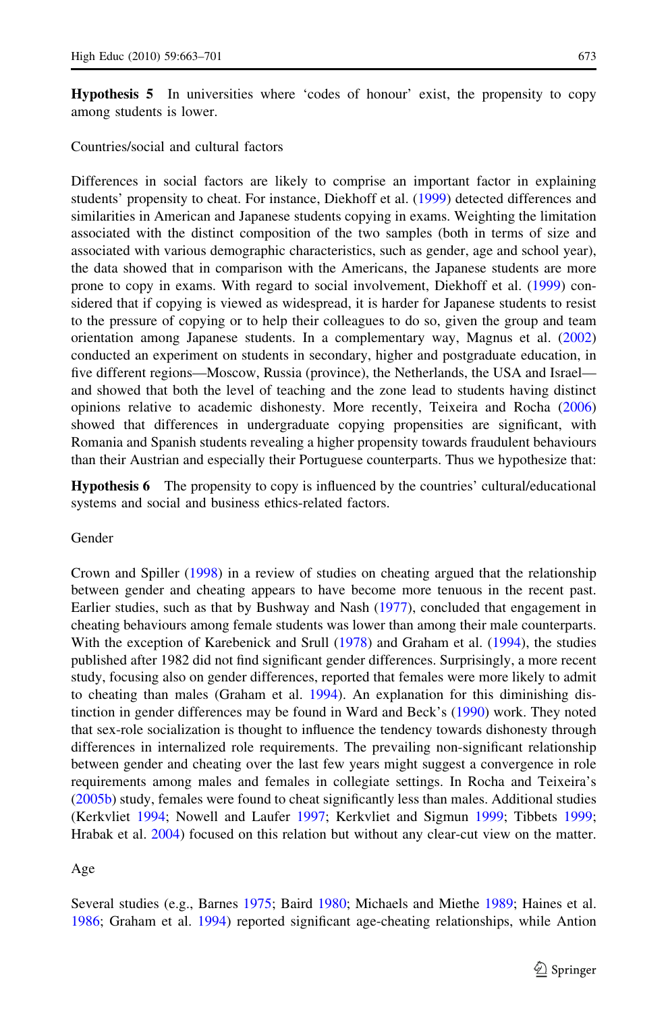Hypothesis 5 In universities where 'codes of honour' exist, the propensity to copy among students is lower.

Countries/social and cultural factors

Differences in social factors are likely to comprise an important factor in explaining students' propensity to cheat. For instance, Diekhoff et al. ([1999\)](#page-36-0) detected differences and similarities in American and Japanese students copying in exams. Weighting the limitation associated with the distinct composition of the two samples (both in terms of size and associated with various demographic characteristics, such as gender, age and school year), the data showed that in comparison with the Americans, the Japanese students are more prone to copy in exams. With regard to social involvement, Diekhoff et al. [\(1999](#page-36-0)) considered that if copying is viewed as widespread, it is harder for Japanese students to resist to the pressure of copying or to help their colleagues to do so, given the group and team orientation among Japanese students. In a complementary way, Magnus et al. ([2002](#page-37-0)) conducted an experiment on students in secondary, higher and postgraduate education, in five different regions—Moscow, Russia (province), the Netherlands, the USA and Israel and showed that both the level of teaching and the zone lead to students having distinct opinions relative to academic dishonesty. More recently, Teixeira and Rocha ([2006](#page-38-0)) showed that differences in undergraduate copying propensities are significant, with Romania and Spanish students revealing a higher propensity towards fraudulent behaviours than their Austrian and especially their Portuguese counterparts. Thus we hypothesize that:

Hypothesis 6 The propensity to copy is influenced by the countries' cultural/educational systems and social and business ethics-related factors.

Gender

Crown and Spiller [\(1998](#page-36-0)) in a review of studies on cheating argued that the relationship between gender and cheating appears to have become more tenuous in the recent past. Earlier studies, such as that by Bushway and Nash [\(1977](#page-36-0)), concluded that engagement in cheating behaviours among female students was lower than among their male counterparts. With the exception of Karebenick and Srull ([1978\)](#page-37-0) and Graham et al. [\(1994\)](#page-36-0), the studies published after 1982 did not find significant gender differences. Surprisingly, a more recent study, focusing also on gender differences, reported that females were more likely to admit to cheating than males (Graham et al. [1994](#page-36-0)). An explanation for this diminishing distinction in gender differences may be found in Ward and Beck's [\(1990\)](#page-38-0) work. They noted that sex-role socialization is thought to influence the tendency towards dishonesty through differences in internalized role requirements. The prevailing non-significant relationship between gender and cheating over the last few years might suggest a convergence in role requirements among males and females in collegiate settings. In Rocha and Teixeira's ([2005b\)](#page-38-0) study, females were found to cheat significantly less than males. Additional studies (Kerkvliet [1994;](#page-37-0) Nowell and Laufer [1997](#page-38-0); Kerkvliet and Sigmun [1999](#page-37-0); Tibbets [1999;](#page-38-0) Hrabak et al. [2004](#page-37-0)) focused on this relation but without any clear-cut view on the matter.

## Age

Several studies (e.g., Barnes [1975;](#page-36-0) Baird [1980;](#page-36-0) Michaels and Miethe [1989;](#page-37-0) Haines et al. [1986;](#page-37-0) Graham et al. [1994\)](#page-36-0) reported significant age-cheating relationships, while Antion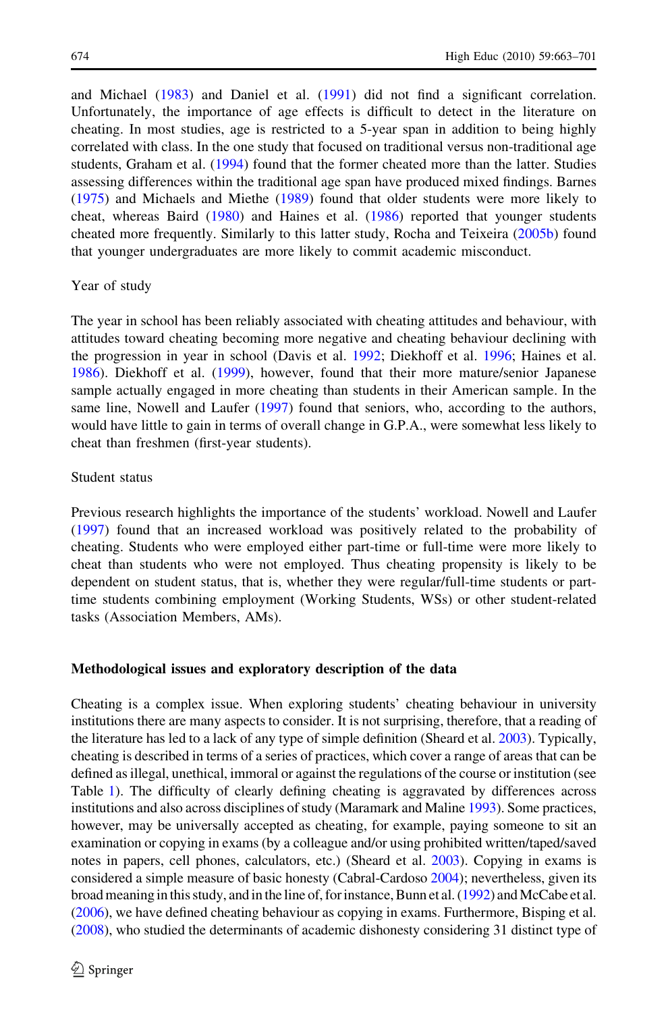and Michael [\(1983](#page-35-0)) and Daniel et al. [\(1991](#page-36-0)) did not find a significant correlation. Unfortunately, the importance of age effects is difficult to detect in the literature on cheating. In most studies, age is restricted to a 5-year span in addition to being highly correlated with class. In the one study that focused on traditional versus non-traditional age students, Graham et al. ([1994](#page-36-0)) found that the former cheated more than the latter. Studies assessing differences within the traditional age span have produced mixed findings. Barnes ([1975\)](#page-36-0) and Michaels and Miethe [\(1989](#page-37-0)) found that older students were more likely to cheat, whereas Baird ([1980\)](#page-36-0) and Haines et al. ([1986\)](#page-37-0) reported that younger students cheated more frequently. Similarly to this latter study, Rocha and Teixeira ([2005b](#page-38-0)) found that younger undergraduates are more likely to commit academic misconduct.

## Year of study

The year in school has been reliably associated with cheating attitudes and behaviour, with attitudes toward cheating becoming more negative and cheating behaviour declining with the progression in year in school (Davis et al. [1992;](#page-36-0) Diekhoff et al. [1996;](#page-36-0) Haines et al. [1986\)](#page-37-0). Diekhoff et al. ([1999\)](#page-36-0), however, found that their more mature/senior Japanese sample actually engaged in more cheating than students in their American sample. In the same line, Nowell and Laufer ([1997\)](#page-38-0) found that seniors, who, according to the authors, would have little to gain in terms of overall change in G.P.A., were somewhat less likely to cheat than freshmen (first-year students).

#### Student status

Previous research highlights the importance of the students' workload. Nowell and Laufer ([1997\)](#page-38-0) found that an increased workload was positively related to the probability of cheating. Students who were employed either part-time or full-time were more likely to cheat than students who were not employed. Thus cheating propensity is likely to be dependent on student status, that is, whether they were regular/full-time students or parttime students combining employment (Working Students, WSs) or other student-related tasks (Association Members, AMs).

## Methodological issues and exploratory description of the data

Cheating is a complex issue. When exploring students' cheating behaviour in university institutions there are many aspects to consider. It is not surprising, therefore, that a reading of the literature has led to a lack of any type of simple definition (Sheard et al. [2003\)](#page-38-0). Typically, cheating is described in terms of a series of practices, which cover a range of areas that can be defined as illegal, unethical, immoral or against the regulations of the course or institution (see Table [1\)](#page-4-0). The difficulty of clearly defining cheating is aggravated by differences across institutions and also across disciplines of study (Maramark and Maline [1993\)](#page-37-0). Some practices, however, may be universally accepted as cheating, for example, paying someone to sit an examination or copying in exams (by a colleague and/or using prohibited written/taped/saved notes in papers, cell phones, calculators, etc.) (Sheard et al. [2003\)](#page-38-0). Copying in exams is considered a simple measure of basic honesty (Cabral-Cardoso [2004](#page-36-0)); nevertheless, given its broad meaning in this study, and in the line of, for instance, Bunn et al. [\(1992\)](#page-36-0) and McCabe et al. ([2006\)](#page-37-0), we have defined cheating behaviour as copying in exams. Furthermore, Bisping et al. ([2008\)](#page-36-0), who studied the determinants of academic dishonesty considering 31 distinct type of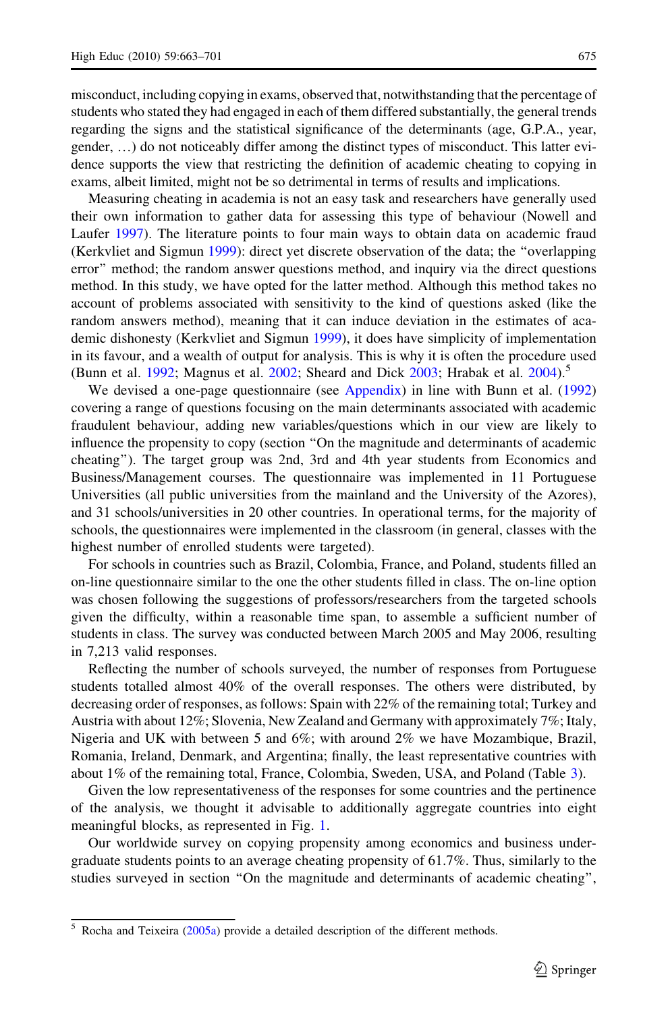misconduct, including copying in exams, observed that, notwithstanding that the percentage of students who stated they had engaged in each of them differed substantially, the general trends regarding the signs and the statistical significance of the determinants (age, G.P.A., year, gender, …) do not noticeably differ among the distinct types of misconduct. This latter evidence supports the view that restricting the definition of academic cheating to copying in exams, albeit limited, might not be so detrimental in terms of results and implications.

Measuring cheating in academia is not an easy task and researchers have generally used their own information to gather data for assessing this type of behaviour (Nowell and Laufer [1997\)](#page-38-0). The literature points to four main ways to obtain data on academic fraud (Kerkvliet and Sigmun [1999\)](#page-37-0): direct yet discrete observation of the data; the ''overlapping error'' method; the random answer questions method, and inquiry via the direct questions method. In this study, we have opted for the latter method. Although this method takes no account of problems associated with sensitivity to the kind of questions asked (like the random answers method), meaning that it can induce deviation in the estimates of academic dishonesty (Kerkvliet and Sigmun [1999\)](#page-37-0), it does have simplicity of implementation in its favour, and a wealth of output for analysis. This is why it is often the procedure used (Bunn et al. [1992;](#page-36-0) Magnus et al. [2002;](#page-37-0) Sheard and Dick  $2003$ ; Hrabak et al.  $2004$ ).<sup>5</sup>

We devised a one-page questionnaire (see [Appendix](#page-34-0)) in line with Bunn et al. ([1992](#page-36-0)) covering a range of questions focusing on the main determinants associated with academic fraudulent behaviour, adding new variables/questions which in our view are likely to influence the propensity to copy (section ''On the magnitude and determinants of academic cheating''). The target group was 2nd, 3rd and 4th year students from Economics and Business/Management courses. The questionnaire was implemented in 11 Portuguese Universities (all public universities from the mainland and the University of the Azores), and 31 schools/universities in 20 other countries. In operational terms, for the majority of schools, the questionnaires were implemented in the classroom (in general, classes with the highest number of enrolled students were targeted).

For schools in countries such as Brazil, Colombia, France, and Poland, students filled an on-line questionnaire similar to the one the other students filled in class. The on-line option was chosen following the suggestions of professors/researchers from the targeted schools given the difficulty, within a reasonable time span, to assemble a sufficient number of students in class. The survey was conducted between March 2005 and May 2006, resulting in 7,213 valid responses.

Reflecting the number of schools surveyed, the number of responses from Portuguese students totalled almost 40% of the overall responses. The others were distributed, by decreasing order of responses, as follows: Spain with 22% of the remaining total; Turkey and Austria with about 12%; Slovenia, New Zealand and Germany with approximately 7%; Italy, Nigeria and UK with between 5 and 6%; with around 2% we have Mozambique, Brazil, Romania, Ireland, Denmark, and Argentina; finally, the least representative countries with about 1% of the remaining total, France, Colombia, Sweden, USA, and Poland (Table [3](#page-13-0)).

Given the low representativeness of the responses for some countries and the pertinence of the analysis, we thought it advisable to additionally aggregate countries into eight meaningful blocks, as represented in Fig. [1.](#page-14-0)

Our worldwide survey on copying propensity among economics and business undergraduate students points to an average cheating propensity of 61.7%. Thus, similarly to the studies surveyed in section ''On the magnitude and determinants of academic cheating'',

<sup>5</sup> Rocha and Teixeira ([2005a](#page-38-0)) provide a detailed description of the different methods.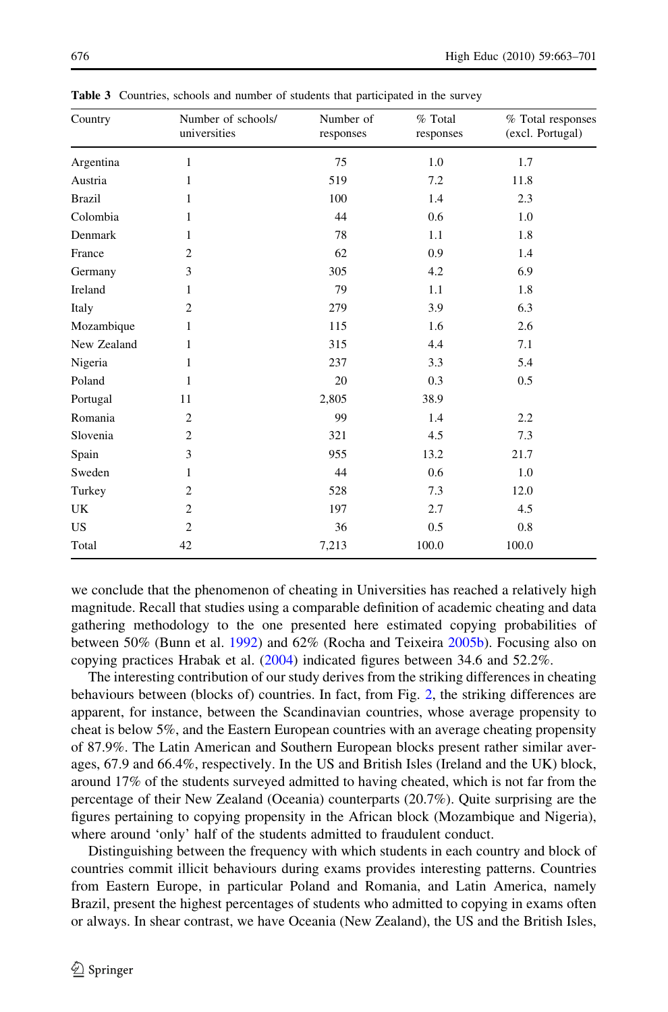| Country       | Number of schools/<br>universities | Number of<br>responses | % Total<br>responses | % Total responses<br>(excl. Portugal) |
|---------------|------------------------------------|------------------------|----------------------|---------------------------------------|
| Argentina     | 1                                  | 75                     | 1.0                  | 1.7                                   |
| Austria       | 1                                  | 519                    | 7.2                  | 11.8                                  |
| <b>Brazil</b> | 1                                  | 100                    | 1.4                  | 2.3                                   |
| Colombia      | 1                                  | 44                     | 0.6                  | 1.0                                   |
| Denmark       | 1                                  | 78                     | 1.1                  | 1.8                                   |
| France        | $\mathfrak{2}$                     | 62                     | 0.9                  | 1.4                                   |
| Germany       | 3                                  | 305                    | 4.2                  | 6.9                                   |
| Ireland       | 1                                  | 79                     | 1.1                  | 1.8                                   |
| Italy         | $\overline{c}$                     | 279                    | 3.9                  | 6.3                                   |
| Mozambique    | 1                                  | 115                    | 1.6                  | 2.6                                   |
| New Zealand   | 1                                  | 315                    | 4.4                  | 7.1                                   |
| Nigeria       | 1                                  | 237                    | 3.3                  | 5.4                                   |
| Poland        | 1                                  | 20                     | 0.3                  | 0.5                                   |
| Portugal      | 11                                 | 2,805                  | 38.9                 |                                       |
| Romania       | $\overline{2}$                     | 99                     | 1.4                  | 2.2                                   |
| Slovenia      | $\mathfrak{2}$                     | 321                    | 4.5                  | 7.3                                   |
| Spain         | 3                                  | 955                    | 13.2                 | 21.7                                  |
| Sweden        | 1                                  | 44                     | 0.6                  | 1.0                                   |
| Turkey        | $\mathfrak{2}$                     | 528                    | 7.3                  | 12.0                                  |
| UK            | $\mathfrak{2}$                     | 197                    | 2.7                  | 4.5                                   |
| US.           | $\overline{c}$                     | 36                     | 0.5                  | 0.8                                   |
| Total         | 42                                 | 7,213                  | 100.0                | 100.0                                 |

<span id="page-13-0"></span>Table 3 Countries, schools and number of students that participated in the survey

we conclude that the phenomenon of cheating in Universities has reached a relatively high magnitude. Recall that studies using a comparable definition of academic cheating and data gathering methodology to the one presented here estimated copying probabilities of between 50% (Bunn et al. [1992\)](#page-36-0) and 62% (Rocha and Teixeira [2005b\)](#page-38-0). Focusing also on copying practices Hrabak et al. [\(2004\)](#page-37-0) indicated figures between 34.6 and 52.2%.

The interesting contribution of our study derives from the striking differences in cheating behaviours between (blocks of) countries. In fact, from Fig. [2](#page-14-0), the striking differences are apparent, for instance, between the Scandinavian countries, whose average propensity to cheat is below 5%, and the Eastern European countries with an average cheating propensity of 87.9%. The Latin American and Southern European blocks present rather similar averages, 67.9 and 66.4%, respectively. In the US and British Isles (Ireland and the UK) block, around 17% of the students surveyed admitted to having cheated, which is not far from the percentage of their New Zealand (Oceania) counterparts (20.7%). Quite surprising are the figures pertaining to copying propensity in the African block (Mozambique and Nigeria), where around 'only' half of the students admitted to fraudulent conduct.

Distinguishing between the frequency with which students in each country and block of countries commit illicit behaviours during exams provides interesting patterns. Countries from Eastern Europe, in particular Poland and Romania, and Latin America, namely Brazil, present the highest percentages of students who admitted to copying in exams often or always. In shear contrast, we have Oceania (New Zealand), the US and the British Isles,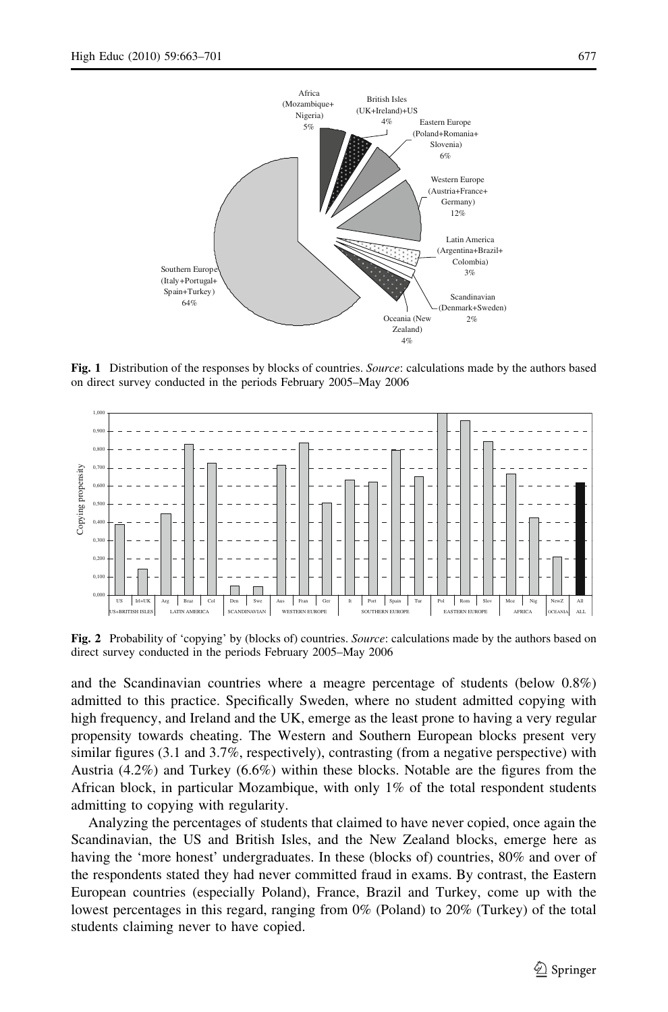<span id="page-14-0"></span>

Fig. 1 Distribution of the responses by blocks of countries. Source: calculations made by the authors based on direct survey conducted in the periods February 2005–May 2006



Fig. 2 Probability of 'copying' by (blocks of) countries. Source: calculations made by the authors based on direct survey conducted in the periods February 2005–May 2006

and the Scandinavian countries where a meagre percentage of students (below 0.8%) admitted to this practice. Specifically Sweden, where no student admitted copying with high frequency, and Ireland and the UK, emerge as the least prone to having a very regular propensity towards cheating. The Western and Southern European blocks present very similar figures (3.1 and 3.7%, respectively), contrasting (from a negative perspective) with Austria (4.2%) and Turkey (6.6%) within these blocks. Notable are the figures from the African block, in particular Mozambique, with only 1% of the total respondent students admitting to copying with regularity.

Analyzing the percentages of students that claimed to have never copied, once again the Scandinavian, the US and British Isles, and the New Zealand blocks, emerge here as having the 'more honest' undergraduates. In these (blocks of) countries, 80% and over of the respondents stated they had never committed fraud in exams. By contrast, the Eastern European countries (especially Poland), France, Brazil and Turkey, come up with the lowest percentages in this regard, ranging from 0% (Poland) to 20% (Turkey) of the total students claiming never to have copied.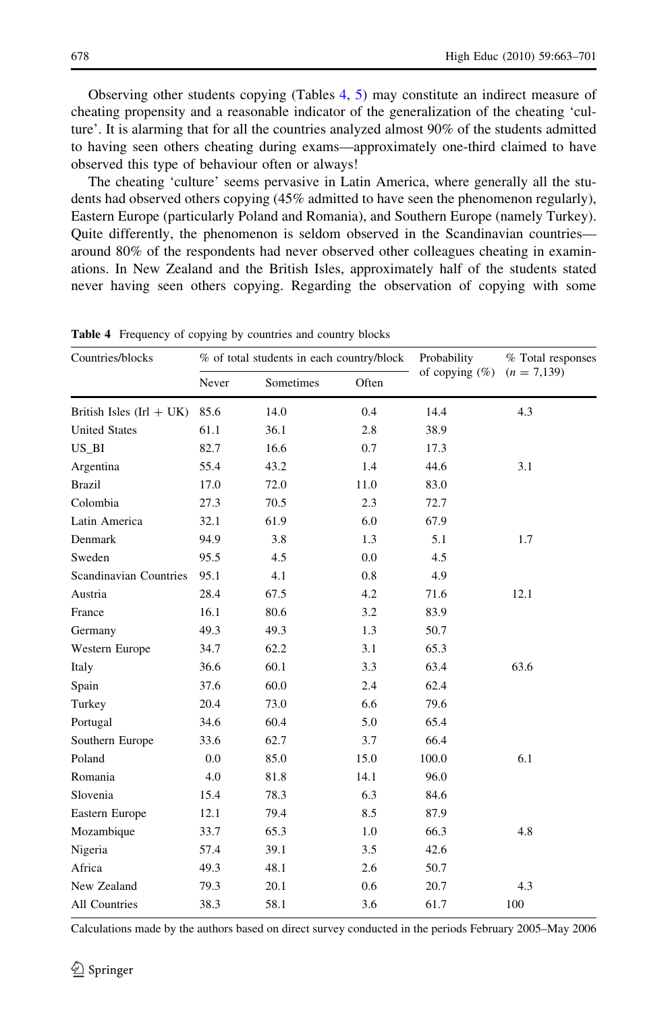Observing other students copying (Tables 4, [5\)](#page-16-0) may constitute an indirect measure of cheating propensity and a reasonable indicator of the generalization of the cheating 'culture'. It is alarming that for all the countries analyzed almost 90% of the students admitted to having seen others cheating during exams—approximately one-third claimed to have observed this type of behaviour often or always!

The cheating 'culture' seems pervasive in Latin America, where generally all the students had observed others copying (45% admitted to have seen the phenomenon regularly), Eastern Europe (particularly Poland and Romania), and Southern Europe (namely Turkey). Quite differently, the phenomenon is seldom observed in the Scandinavian countries around 80% of the respondents had never observed other colleagues cheating in examinations. In New Zealand and the British Isles, approximately half of the students stated never having seen others copying. Regarding the observation of copying with some

| Countries/blocks           |       | % of total students in each country/block |       | Probability       | % Total responses |
|----------------------------|-------|-------------------------------------------|-------|-------------------|-------------------|
|                            | Never | Sometimes                                 | Often | of copying $(\%)$ | $(n = 7,139)$     |
| British Isles $(IrI + UK)$ | 85.6  | 14.0                                      | 0.4   | 14.4              | 4.3               |
| <b>United States</b>       | 61.1  | 36.1                                      | 2.8   | 38.9              |                   |
| $US$ <sub>BI</sub>         | 82.7  | 16.6                                      | 0.7   | 17.3              |                   |
| Argentina                  | 55.4  | 43.2                                      | 1.4   | 44.6              | 3.1               |
| <b>Brazil</b>              | 17.0  | 72.0                                      | 11.0  | 83.0              |                   |
| Colombia                   | 27.3  | 70.5                                      | 2.3   | 72.7              |                   |
| Latin America              | 32.1  | 61.9                                      | 6.0   | 67.9              |                   |
| Denmark                    | 94.9  | 3.8                                       | 1.3   | 5.1               | 1.7               |
| Sweden                     | 95.5  | 4.5                                       | 0.0   | 4.5               |                   |
| Scandinavian Countries     | 95.1  | 4.1                                       | 0.8   | 4.9               |                   |
| Austria                    | 28.4  | 67.5                                      | 4.2   | 71.6              | 12.1              |
| France                     | 16.1  | 80.6                                      | 3.2   | 83.9              |                   |
| Germany                    | 49.3  | 49.3                                      | 1.3   | 50.7              |                   |
| Western Europe             | 34.7  | 62.2                                      | 3.1   | 65.3              |                   |
| Italy                      | 36.6  | 60.1                                      | 3.3   | 63.4              | 63.6              |
| Spain                      | 37.6  | 60.0                                      | 2.4   | 62.4              |                   |
| Turkey                     | 20.4  | 73.0                                      | 6.6   | 79.6              |                   |
| Portugal                   | 34.6  | 60.4                                      | 5.0   | 65.4              |                   |
| Southern Europe            | 33.6  | 62.7                                      | 3.7   | 66.4              |                   |
| Poland                     | 0.0   | 85.0                                      | 15.0  | 100.0             | 6.1               |
| Romania                    | 4.0   | 81.8                                      | 14.1  | 96.0              |                   |
| Slovenia                   | 15.4  | 78.3                                      | 6.3   | 84.6              |                   |
| Eastern Europe             | 12.1  | 79.4                                      | 8.5   | 87.9              |                   |
| Mozambique                 | 33.7  | 65.3                                      | 1.0   | 66.3              | 4.8               |
| Nigeria                    | 57.4  | 39.1                                      | 3.5   | 42.6              |                   |
| Africa                     | 49.3  | 48.1                                      | 2.6   | 50.7              |                   |
| New Zealand                | 79.3  | 20.1                                      | 0.6   | 20.7              | 4.3               |
| All Countries              | 38.3  | 58.1                                      | 3.6   | 61.7              | 100               |

Table 4 Frequency of copying by countries and country blocks

Calculations made by the authors based on direct survey conducted in the periods February 2005–May 2006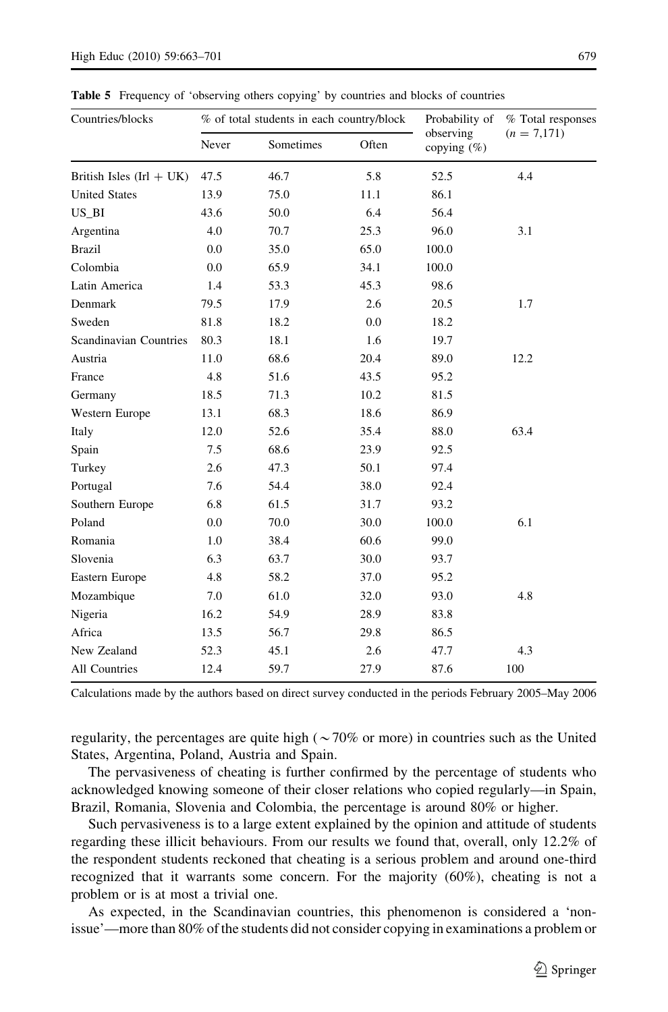| Countries/blocks           |       | % of total students in each country/block |       | Probability of              | % Total responses |
|----------------------------|-------|-------------------------------------------|-------|-----------------------------|-------------------|
|                            | Never | Sometimes                                 | Often | observing<br>copying $(\%)$ | $(n = 7,171)$     |
| British Isles $(IrI + UK)$ | 47.5  | 46.7                                      | 5.8   | 52.5                        | 4.4               |
| <b>United States</b>       | 13.9  | 75.0                                      | 11.1  | 86.1                        |                   |
| US_BI                      | 43.6  | 50.0                                      | 6.4   | 56.4                        |                   |
| Argentina                  | 4.0   | 70.7                                      | 25.3  | 96.0                        | 3.1               |
| <b>Brazil</b>              | 0.0   | 35.0                                      | 65.0  | 100.0                       |                   |
| Colombia                   | 0.0   | 65.9                                      | 34.1  | 100.0                       |                   |
| Latin America              | 1.4   | 53.3                                      | 45.3  | 98.6                        |                   |
| Denmark                    | 79.5  | 17.9                                      | 2.6   | 20.5                        | 1.7               |
| Sweden                     | 81.8  | 18.2                                      | 0.0   | 18.2                        |                   |
| Scandinavian Countries     | 80.3  | 18.1                                      | 1.6   | 19.7                        |                   |
| Austria                    | 11.0  | 68.6                                      | 20.4  | 89.0                        | 12.2              |
| France                     | 4.8   | 51.6                                      | 43.5  | 95.2                        |                   |
| Germany                    | 18.5  | 71.3                                      | 10.2  | 81.5                        |                   |
| Western Europe             | 13.1  | 68.3                                      | 18.6  | 86.9                        |                   |
| Italy                      | 12.0  | 52.6                                      | 35.4  | 88.0                        | 63.4              |
| Spain                      | 7.5   | 68.6                                      | 23.9  | 92.5                        |                   |
| Turkey                     | 2.6   | 47.3                                      | 50.1  | 97.4                        |                   |
| Portugal                   | 7.6   | 54.4                                      | 38.0  | 92.4                        |                   |
| Southern Europe            | 6.8   | 61.5                                      | 31.7  | 93.2                        |                   |
| Poland                     | 0.0   | 70.0                                      | 30.0  | 100.0                       | 6.1               |
| Romania                    | 1.0   | 38.4                                      | 60.6  | 99.0                        |                   |
| Slovenia                   | 6.3   | 63.7                                      | 30.0  | 93.7                        |                   |
| Eastern Europe             | 4.8   | 58.2                                      | 37.0  | 95.2                        |                   |
| Mozambique                 | 7.0   | 61.0                                      | 32.0  | 93.0                        | 4.8               |
| Nigeria                    | 16.2  | 54.9                                      | 28.9  | 83.8                        |                   |
| Africa                     | 13.5  | 56.7                                      | 29.8  | 86.5                        |                   |
| New Zealand                | 52.3  | 45.1                                      | 2.6   | 47.7                        | 4.3               |
| All Countries              | 12.4  | 59.7                                      | 27.9  | 87.6                        | 100               |

<span id="page-16-0"></span>Table 5 Frequency of 'observing others copying' by countries and blocks of countries

Calculations made by the authors based on direct survey conducted in the periods February 2005–May 2006

regularity, the percentages are quite high (*\**70% or more) in countries such as the United States, Argentina, Poland, Austria and Spain.

The pervasiveness of cheating is further confirmed by the percentage of students who acknowledged knowing someone of their closer relations who copied regularly—in Spain, Brazil, Romania, Slovenia and Colombia, the percentage is around 80% or higher.

Such pervasiveness is to a large extent explained by the opinion and attitude of students regarding these illicit behaviours. From our results we found that, overall, only 12.2% of the respondent students reckoned that cheating is a serious problem and around one-third recognized that it warrants some concern. For the majority (60%), cheating is not a problem or is at most a trivial one.

As expected, in the Scandinavian countries, this phenomenon is considered a 'nonissue'—more than 80% of the students did not consider copying in examinations a problem or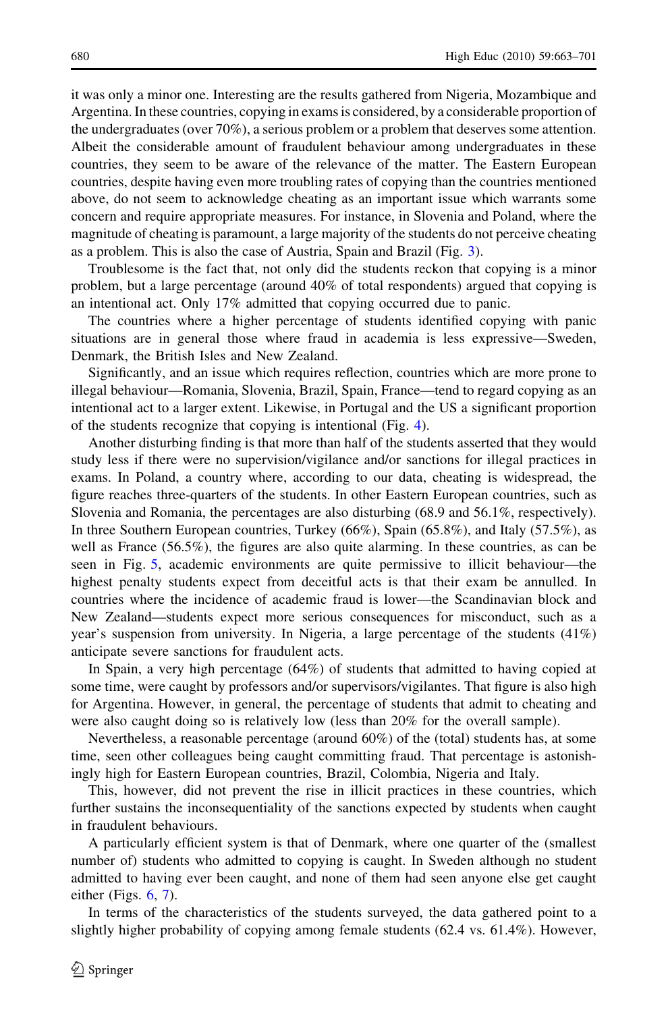it was only a minor one. Interesting are the results gathered from Nigeria, Mozambique and Argentina. In these countries, copying in exams is considered, by a considerable proportion of the undergraduates (over 70%), a serious problem or a problem that deserves some attention. Albeit the considerable amount of fraudulent behaviour among undergraduates in these countries, they seem to be aware of the relevance of the matter. The Eastern European countries, despite having even more troubling rates of copying than the countries mentioned above, do not seem to acknowledge cheating as an important issue which warrants some concern and require appropriate measures. For instance, in Slovenia and Poland, where the magnitude of cheating is paramount, a large majority of the students do not perceive cheating as a problem. This is also the case of Austria, Spain and Brazil (Fig. [3\)](#page-18-0).

Troublesome is the fact that, not only did the students reckon that copying is a minor problem, but a large percentage (around 40% of total respondents) argued that copying is an intentional act. Only 17% admitted that copying occurred due to panic.

The countries where a higher percentage of students identified copying with panic situations are in general those where fraud in academia is less expressive—Sweden, Denmark, the British Isles and New Zealand.

Significantly, and an issue which requires reflection, countries which are more prone to illegal behaviour—Romania, Slovenia, Brazil, Spain, France—tend to regard copying as an intentional act to a larger extent. Likewise, in Portugal and the US a significant proportion of the students recognize that copying is intentional (Fig. [4](#page-18-0)).

Another disturbing finding is that more than half of the students asserted that they would study less if there were no supervision/vigilance and/or sanctions for illegal practices in exams. In Poland, a country where, according to our data, cheating is widespread, the figure reaches three-quarters of the students. In other Eastern European countries, such as Slovenia and Romania, the percentages are also disturbing (68.9 and 56.1%, respectively). In three Southern European countries, Turkey (66%), Spain (65.8%), and Italy (57.5%), as well as France (56.5%), the figures are also quite alarming. In these countries, as can be seen in Fig. [5,](#page-19-0) academic environments are quite permissive to illicit behaviour—the highest penalty students expect from deceitful acts is that their exam be annulled. In countries where the incidence of academic fraud is lower—the Scandinavian block and New Zealand—students expect more serious consequences for misconduct, such as a year's suspension from university. In Nigeria, a large percentage of the students (41%) anticipate severe sanctions for fraudulent acts.

In Spain, a very high percentage (64%) of students that admitted to having copied at some time, were caught by professors and/or supervisors/vigilantes. That figure is also high for Argentina. However, in general, the percentage of students that admit to cheating and were also caught doing so is relatively low (less than 20% for the overall sample).

Nevertheless, a reasonable percentage (around 60%) of the (total) students has, at some time, seen other colleagues being caught committing fraud. That percentage is astonishingly high for Eastern European countries, Brazil, Colombia, Nigeria and Italy.

This, however, did not prevent the rise in illicit practices in these countries, which further sustains the inconsequentiality of the sanctions expected by students when caught in fraudulent behaviours.

A particularly efficient system is that of Denmark, where one quarter of the (smallest number of) students who admitted to copying is caught. In Sweden although no student admitted to having ever been caught, and none of them had seen anyone else get caught either (Figs.  $6, 7$  $6, 7$  $6, 7$ ).

In terms of the characteristics of the students surveyed, the data gathered point to a slightly higher probability of copying among female students (62.4 vs. 61.4%). However,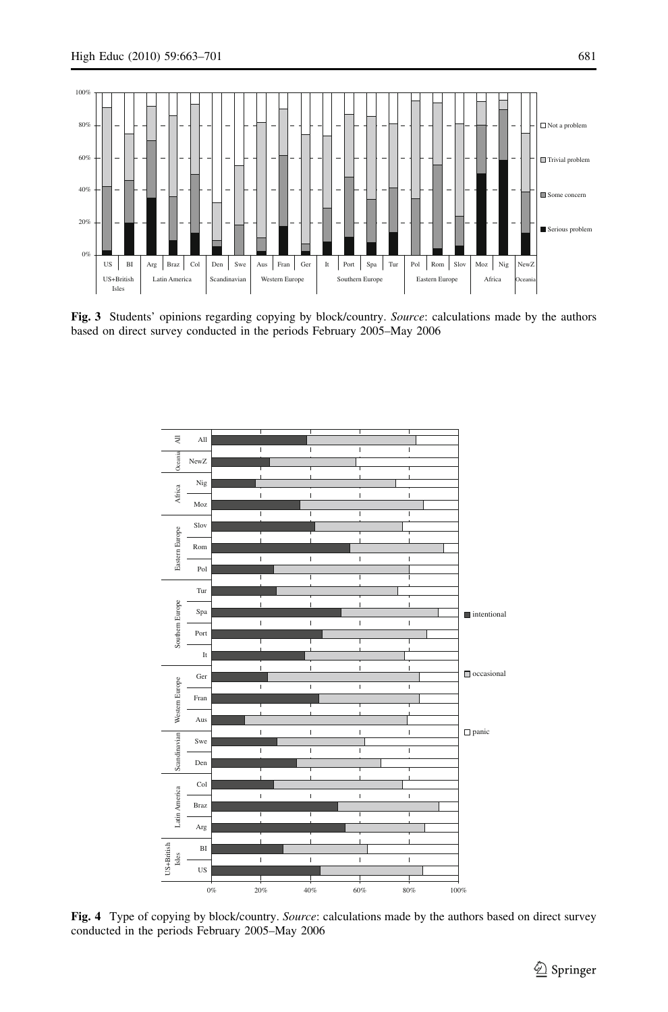<span id="page-18-0"></span>

Fig. 3 Students' opinions regarding copying by block/country. Source: calculations made by the authors based on direct survey conducted in the periods February 2005–May 2006



Fig. 4 Type of copying by block/country. Source: calculations made by the authors based on direct survey conducted in the periods February 2005–May 2006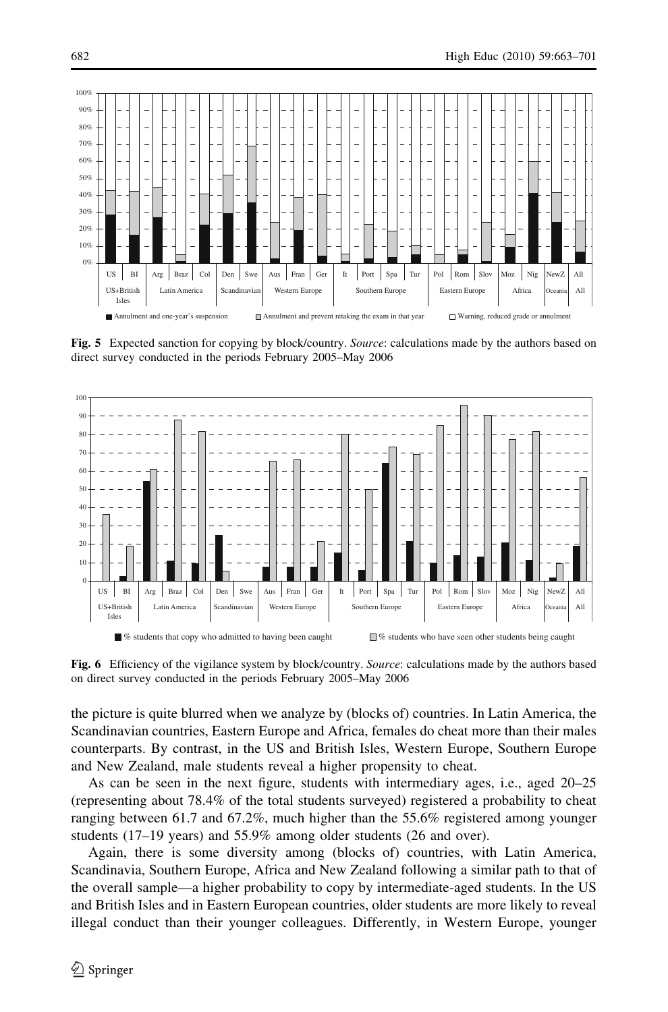<span id="page-19-0"></span>

Fig. 5 Expected sanction for copying by block/country. Source: calculations made by the authors based on direct survey conducted in the periods February 2005–May 2006



Fig. 6 Efficiency of the vigilance system by block/country. Source: calculations made by the authors based on direct survey conducted in the periods February 2005–May 2006

the picture is quite blurred when we analyze by (blocks of) countries. In Latin America, the Scandinavian countries, Eastern Europe and Africa, females do cheat more than their males counterparts. By contrast, in the US and British Isles, Western Europe, Southern Europe and New Zealand, male students reveal a higher propensity to cheat.

As can be seen in the next figure, students with intermediary ages, i.e., aged 20–25 (representing about 78.4% of the total students surveyed) registered a probability to cheat ranging between 61.7 and 67.2%, much higher than the 55.6% registered among younger students (17–19 years) and 55.9% among older students (26 and over).

Again, there is some diversity among (blocks of) countries, with Latin America, Scandinavia, Southern Europe, Africa and New Zealand following a similar path to that of the overall sample—a higher probability to copy by intermediate-aged students. In the US and British Isles and in Eastern European countries, older students are more likely to reveal illegal conduct than their younger colleagues. Differently, in Western Europe, younger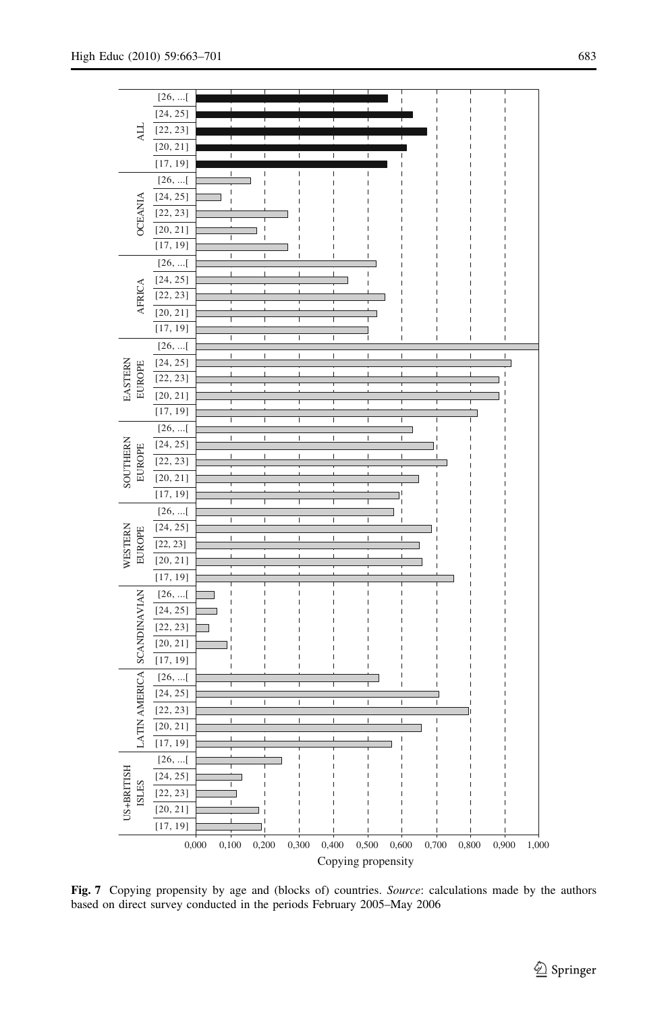<span id="page-20-0"></span>

Fig. 7 Copying propensity by age and (blocks of) countries. Source: calculations made by the authors based on direct survey conducted in the periods February 2005–May 2006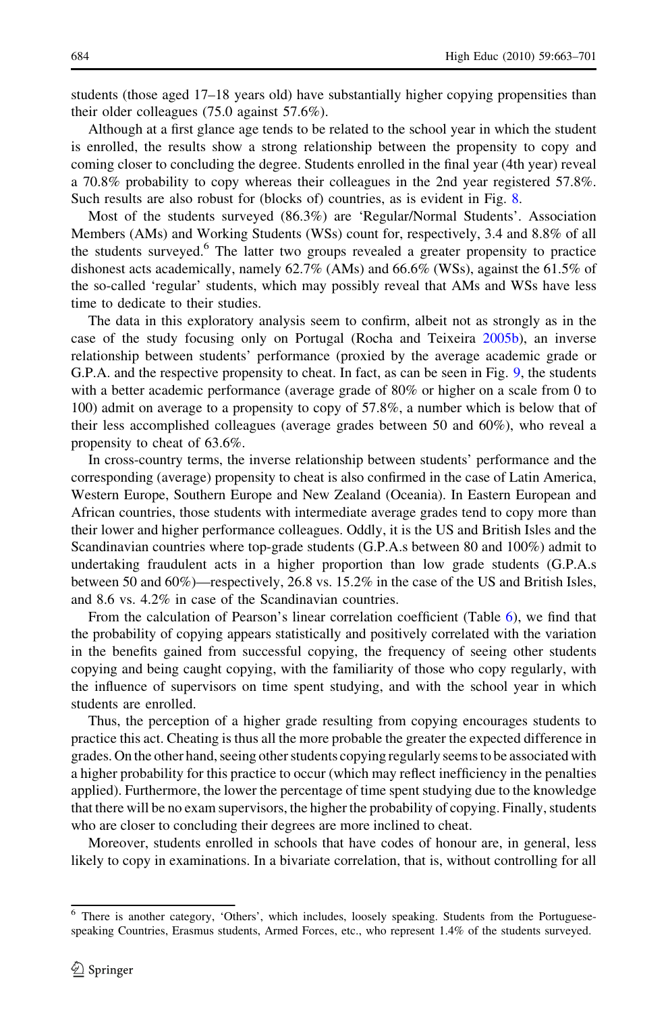students (those aged 17–18 years old) have substantially higher copying propensities than their older colleagues (75.0 against 57.6%).

Although at a first glance age tends to be related to the school year in which the student is enrolled, the results show a strong relationship between the propensity to copy and coming closer to concluding the degree. Students enrolled in the final year (4th year) reveal a 70.8% probability to copy whereas their colleagues in the 2nd year registered 57.8%. Such results are also robust for (blocks of) countries, as is evident in Fig. [8](#page-22-0).

Most of the students surveyed (86.3%) are 'Regular/Normal Students'. Association Members (AMs) and Working Students (WSs) count for, respectively, 3.4 and 8.8% of all the students surveyed.<sup>6</sup> The latter two groups revealed a greater propensity to practice dishonest acts academically, namely 62.7% (AMs) and 66.6% (WSs), against the 61.5% of the so-called 'regular' students, which may possibly reveal that AMs and WSs have less time to dedicate to their studies.

The data in this exploratory analysis seem to confirm, albeit not as strongly as in the case of the study focusing only on Portugal (Rocha and Teixeira [2005b](#page-38-0)), an inverse relationship between students' performance (proxied by the average academic grade or G.P.A. and the respective propensity to cheat. In fact, as can be seen in Fig. [9,](#page-22-0) the students with a better academic performance (average grade of 80% or higher on a scale from 0 to 100) admit on average to a propensity to copy of 57.8%, a number which is below that of their less accomplished colleagues (average grades between 50 and 60%), who reveal a propensity to cheat of 63.6%.

In cross-country terms, the inverse relationship between students' performance and the corresponding (average) propensity to cheat is also confirmed in the case of Latin America, Western Europe, Southern Europe and New Zealand (Oceania). In Eastern European and African countries, those students with intermediate average grades tend to copy more than their lower and higher performance colleagues. Oddly, it is the US and British Isles and the Scandinavian countries where top-grade students (G.P.A.s between 80 and 100%) admit to undertaking fraudulent acts in a higher proportion than low grade students (G.P.A.s between 50 and 60%)—respectively, 26.8 vs. 15.2% in the case of the US and British Isles, and 8.6 vs. 4.2% in case of the Scandinavian countries.

From the calculation of Pearson's linear correlation coefficient (Table [6\)](#page-23-0), we find that the probability of copying appears statistically and positively correlated with the variation in the benefits gained from successful copying, the frequency of seeing other students copying and being caught copying, with the familiarity of those who copy regularly, with the influence of supervisors on time spent studying, and with the school year in which students are enrolled.

Thus, the perception of a higher grade resulting from copying encourages students to practice this act. Cheating is thus all the more probable the greater the expected difference in grades. On the other hand, seeing other students copying regularly seems to be associated with a higher probability for this practice to occur (which may reflect inefficiency in the penalties applied). Furthermore, the lower the percentage of time spent studying due to the knowledge that there will be no exam supervisors, the higher the probability of copying. Finally, students who are closer to concluding their degrees are more inclined to cheat.

Moreover, students enrolled in schools that have codes of honour are, in general, less likely to copy in examinations. In a bivariate correlation, that is, without controlling for all

<sup>&</sup>lt;sup>6</sup> There is another category, 'Others', which includes, loosely speaking. Students from the Portuguesespeaking Countries, Erasmus students, Armed Forces, etc., who represent 1.4% of the students surveyed.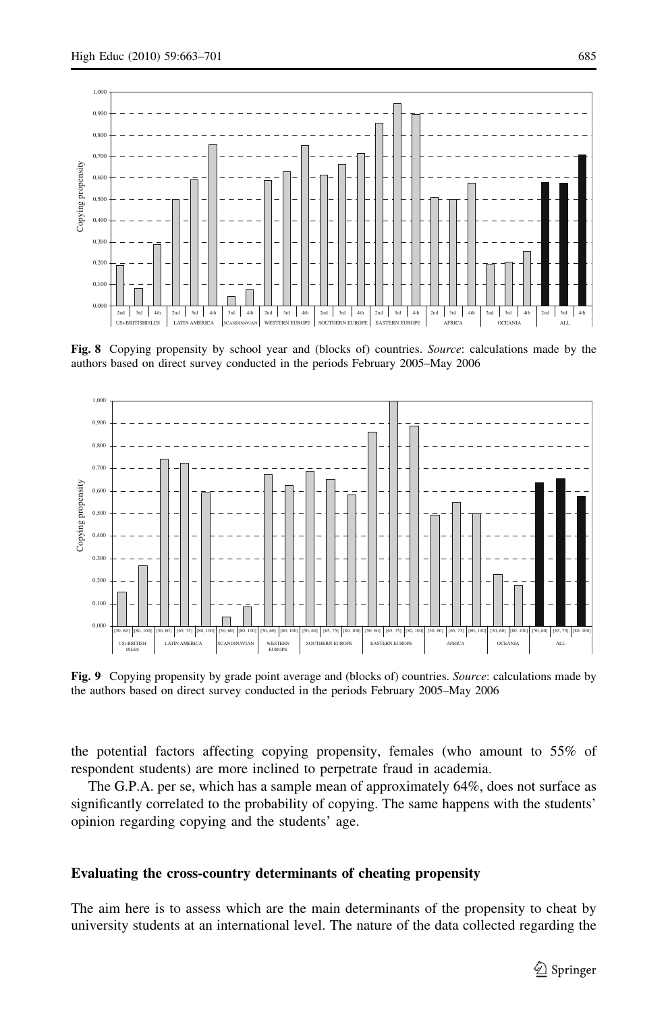<span id="page-22-0"></span>

Fig. 8 Copying propensity by school year and (blocks of) countries. Source: calculations made by the authors based on direct survey conducted in the periods February 2005–May 2006



Fig. 9 Copying propensity by grade point average and (blocks of) countries. Source: calculations made by the authors based on direct survey conducted in the periods February 2005–May 2006

the potential factors affecting copying propensity, females (who amount to 55% of respondent students) are more inclined to perpetrate fraud in academia.

The G.P.A. per se, which has a sample mean of approximately 64%, does not surface as significantly correlated to the probability of copying. The same happens with the students' opinion regarding copying and the students' age.

#### Evaluating the cross-country determinants of cheating propensity

The aim here is to assess which are the main determinants of the propensity to cheat by university students at an international level. The nature of the data collected regarding the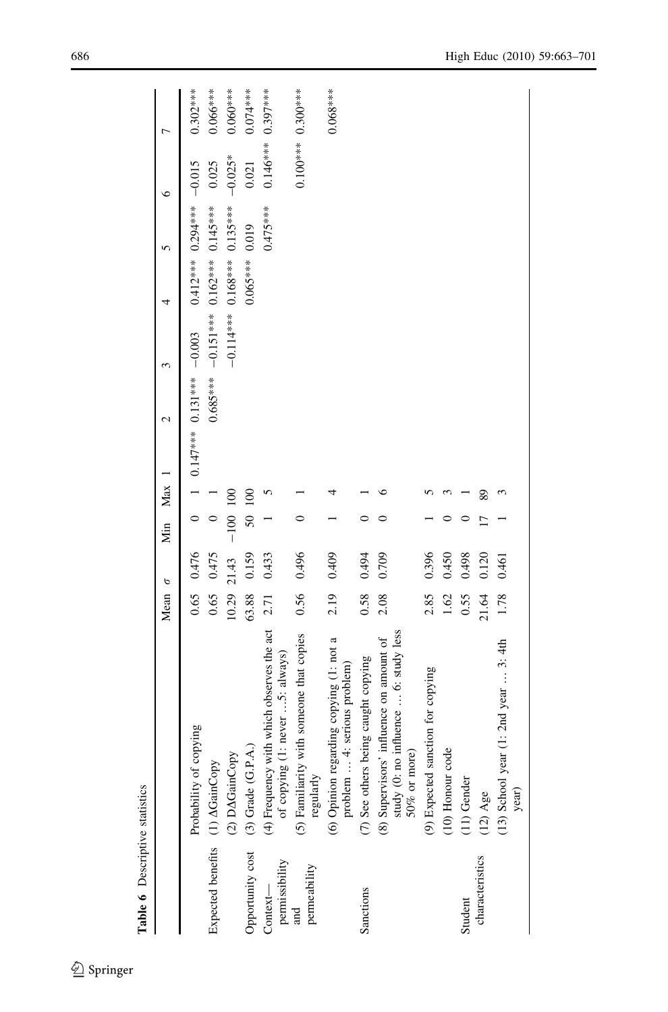<span id="page-23-0"></span>

| Table 6 Descriptive statistics  |                                                                                                  |               |            |            |    |                               |            |                                 |                 |                                    |           |                    |
|---------------------------------|--------------------------------------------------------------------------------------------------|---------------|------------|------------|----|-------------------------------|------------|---------------------------------|-----------------|------------------------------------|-----------|--------------------|
|                                 |                                                                                                  | Mean $\sigma$ |            | Min Max    |    | $\mathbf{\Omega}$             |            | 3                               | 4               | 5                                  | ७         |                    |
|                                 | copying<br>Probability of                                                                        |               | 0.65 0.476 |            |    | $0$ 1 0.147*** 0.131*** 0.003 |            |                                 |                 | $0.015$<br>$-0.294***$<br>$-0.015$ |           | $0.302***$         |
| Expected benefits (1) AGainCopy |                                                                                                  | 0.65          | 0.475      |            |    |                               | $0.685***$ | $-0.151***$ 0.162**** 0.145**** |                 |                                    | 0.025     | $0.066***$         |
|                                 | (2) DAGainCopy                                                                                   | 10.29 21.43   |            | $-100$ 100 |    |                               |            | $-0.114***$ 0.168*** 0.135***   |                 |                                    | $-0.025*$ | $0.060***$         |
| Opportunity cost                | $(3)$ Grade (G.P.A.)                                                                             | 63.88         | 0.159      | 50100      |    |                               |            |                                 | $0.065***0.019$ |                                    | 0.021     | $0.074***$         |
| permissibility<br>$Context-$    | (4) Frequency with which observes the act of copying $(1: never  5: always)$                     | 2.71          | 0.433      |            |    |                               |            |                                 |                 | $0.475***$                         |           | $0.146***0.397***$ |
| permeability<br>and             | (5) Familiarity with someone that copies regularly                                               | 0.56          | 0.496      |            |    |                               |            |                                 |                 |                                    |           | $0.100***0.300**$  |
|                                 | (6) Opinion regarding copying $(1: \text{not a})$<br>problem  4: serious problem)                | 2.19          | 0.409      |            |    |                               |            |                                 |                 |                                    |           | $0.068***$         |
| Sanctions                       | (7) See others being caught copying                                                              | 0.58          | 0.494      |            |    |                               |            |                                 |                 |                                    |           |                    |
|                                 | study (0: no influence  6: study less $50\%$ or more)<br>(8) Supervisors' influence on amount of | 2.08          | 0.709      |            |    |                               |            |                                 |                 |                                    |           |                    |
|                                 | (9) Expected sanction for copying                                                                | 2.85          | 0.396      |            |    |                               |            |                                 |                 |                                    |           |                    |
|                                 | (10) Honour code                                                                                 | 1.62          | 0.450      |            |    |                               |            |                                 |                 |                                    |           |                    |
| Student                         | $(11)$ Gender                                                                                    | 0.55          | 0.498      |            |    |                               |            |                                 |                 |                                    |           |                    |
| characteristics                 | $(12)$ Age                                                                                       | 21.64         | 0.120      | 17         | 89 |                               |            |                                 |                 |                                    |           |                    |
|                                 | (13) School year (1: 2nd year  3: 4th<br>year)                                                   | 1.78          | 0.461      |            |    |                               |            |                                 |                 |                                    |           |                    |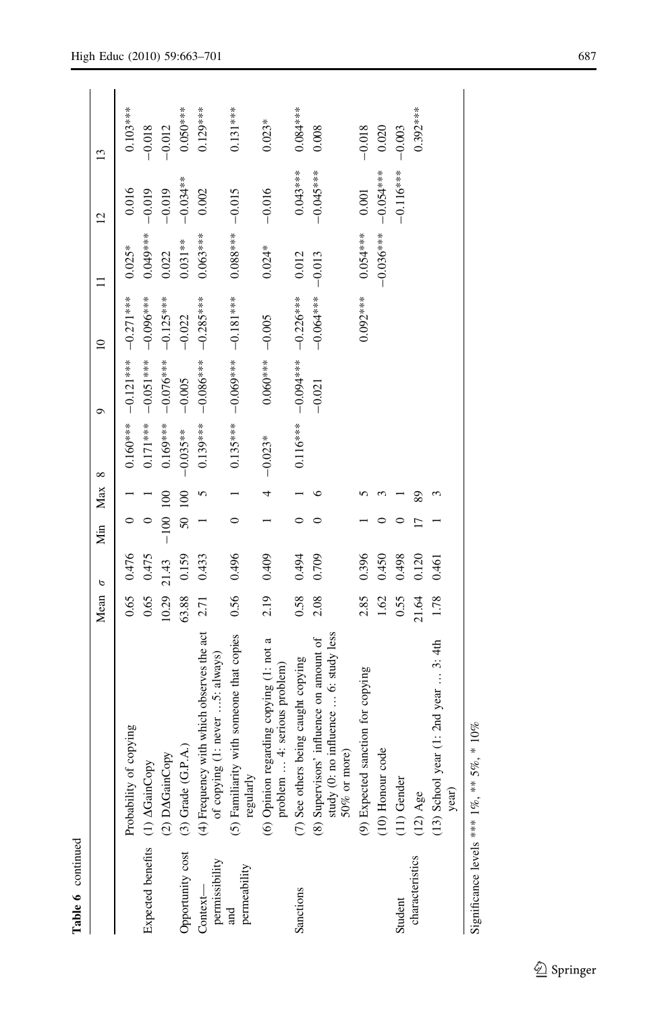| $\mathop{\mathrm{commue}}\nolimits$ |
|-------------------------------------|
| ७                                   |
| Table                               |

|                                 |                                                                                                  | Mean  | $\ddot{\circ}$ | Min            | Max | $\infty$    | ٥                                 | $\overline{a}$ |             | $\overline{12}$ | 13         |
|---------------------------------|--------------------------------------------------------------------------------------------------|-------|----------------|----------------|-----|-------------|-----------------------------------|----------------|-------------|-----------------|------------|
|                                 | Probability of copying                                                                           | 0.65  | 0.476          |                |     |             | ****ILCO-++**ICIO-++**O9IO        |                | $0.025*$    | 0.016           | $0.103***$ |
| Expected benefits (1) AGainCopy |                                                                                                  | 0.65  | 0.475          |                |     | $0.171***$  | $-0.051***$                       | $-0.096***$    | $0.043**$   | $-0.019$        | $-0.018$   |
|                                 | (2) DAGainCopy                                                                                   | 10.29 | 21.43          | $-100$ 100     |     | $0.169***$  | $-0.076***$                       | $-0.125***$    | 0.022       | $-0.019$        | $-0.012$   |
| Opportunity cost                | $(3)$ Grade $(G.P.A.)$                                                                           | 63.88 | 0.159          | 50 100         |     | $-0.035***$ | $-0.005$                          | $-0.022$       | $0.031**$   | $-0.034**$      | $0.050***$ |
| permissibility<br>Context-      | (4) Frequency with which observes the act<br>of copying $(1:$ never S: always)                   | 2.71  | 0.433          |                | 5   | $0.139***$  | $-0.086***$                       | $-0.285***$    | $0.063***$  | 0.002           | $0.129***$ |
| permeability<br>and             | (5) Familiarity with someone that copies<br>regularly                                            | 0.56  | 0.496          |                |     |             | $-0.135***$ $-0.069$ $-0.0135***$ |                | $0.088***$  | $-0.015$        | $0.131***$ |
|                                 | (6) Opinion regarding copying (1: not a<br>problem  4: serious problem)                          | 2.19  | 0.409          |                |     | $-0.023*$   | $0.060***$                        | $-0.005$       | $0.024*$    | $-0.016$        | $0.023*$   |
| Sanctions                       | being caught copying<br>(7) See others                                                           | 0.58  | 0.494          |                |     | $0.116***$  | $-0.094**$                        | $-0.226***$    | 0.012       | $0.043***$      | $0.084***$ |
|                                 | study (0: no influence  6: study less $50\%$ or more)<br>(8) Supervisors' influence on amount of | 2.08  | 0.709          |                |     |             | $-0.021$                          | $-0.064***$    | $-0.013$    | $-0.045***$     | 0.008      |
|                                 | (9) Expected sanction for copying                                                                | 2.85  | 0.396          |                |     |             |                                   | $0.092***$     | $0.054***$  | 0.001           | $-0.018$   |
|                                 | (10) Honour code                                                                                 | 1.62  | 0.450          |                |     |             |                                   |                | $-0.036***$ | $-0.054***$     | 0.020      |
| Student                         | (11) Gender                                                                                      | 0.55  | 0.498          |                |     |             |                                   |                |             | $-0.116***$     | $-0.003$   |
| characteristics                 | $(12)$ Age                                                                                       | 21.64 | 0.120          | $\overline{1}$ | 89  |             |                                   |                |             |                 | $0.392***$ |
|                                 | (13) School year (1: $2nd$ year  3: 4th<br>year)                                                 | 1.78  | 0.461          |                |     |             |                                   |                |             |                 |            |
|                                 |                                                                                                  |       |                |                |     |             |                                   |                |             |                 |            |

Significance levels \*\*\*  $1\%$ , \*\*  $5\%$ , \*  $10\%$ Significance levels \*\*\* 1%, \*\* 5%, \*  $10\%$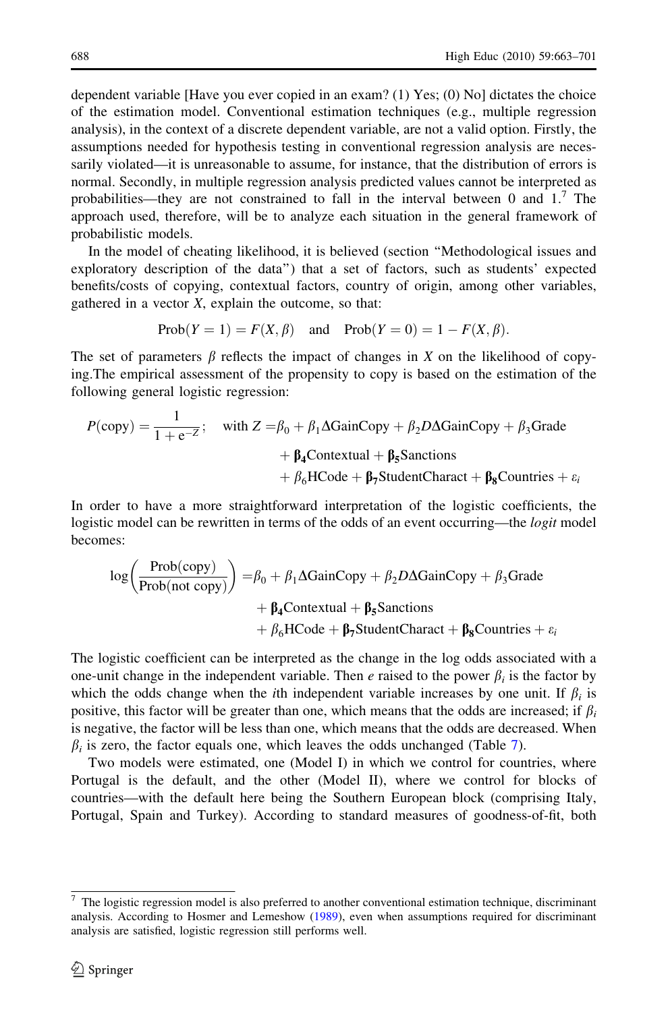dependent variable [Have you ever copied in an exam? (1) Yes; (0) No] dictates the choice of the estimation model. Conventional estimation techniques (e.g., multiple regression analysis), in the context of a discrete dependent variable, are not a valid option. Firstly, the assumptions needed for hypothesis testing in conventional regression analysis are necessarily violated—it is unreasonable to assume, for instance, that the distribution of errors is normal. Secondly, in multiple regression analysis predicted values cannot be interpreted as probabilities—they are not constrained to fall in the interval between 0 and  $1<sup>7</sup>$ . The approach used, therefore, will be to analyze each situation in the general framework of probabilistic models.

In the model of cheating likelihood, it is believed (section ''Methodological issues and exploratory description of the data'') that a set of factors, such as students' expected benefits/costs of copying, contextual factors, country of origin, among other variables, gathered in a vector  $X$ , explain the outcome, so that:

$$
Prob(Y = 1) = F(X, \beta)
$$
 and  $Prob(Y = 0) = 1 - F(X, \beta)$ .

The set of parameters  $\beta$  reflects the impact of changes in X on the likelihood of copying.The empirical assessment of the propensity to copy is based on the estimation of the following general logistic regression:

$$
P(\text{copy}) = \frac{1}{1 + e^{-Z}}; \quad \text{with } Z = \beta_0 + \beta_1 \Delta \text{GainCopy} + \beta_2 D \Delta \text{GainCopy} + \beta_3 \text{Grade}
$$

$$
+ \beta_4 \text{Contextual} + \beta_5 \text{Sanctions}
$$

$$
+ \beta_6 \text{HCode} + \beta_7 \text{StudentCharacter} + \beta_8 \text{Countries} + \varepsilon_7
$$

In order to have a more straightforward interpretation of the logistic coefficients, the logistic model can be rewritten in terms of the odds of an event occurring—the *logit* model becomes:

$$
\log \left(\frac{\text{Prob}(\text{copy})}{\text{Prob}(\text{not copy})}\right) = \beta_0 + \beta_1 \Delta \text{GainCopy} + \beta_2 D \Delta \text{GainCopy} + \beta_3 \text{Grade} + \beta_4 \text{Contextual} + \beta_5 \text{Sanctions} + \beta_6 \text{HCode} + \beta_7 \text{StudentCharacter} + \beta_8 \text{Countries} + \varepsilon_i
$$

The logistic coefficient can be interpreted as the change in the log odds associated with a one-unit change in the independent variable. Then e raised to the power  $\beta_i$  is the factor by which the odds change when the *i*th independent variable increases by one unit. If  $\beta_i$  is positive, this factor will be greater than one, which means that the odds are increased; if  $\beta_i$ is negative, the factor will be less than one, which means that the odds are decreased. When  $\beta_i$  is zero, the factor equals one, which leaves the odds unchanged (Table [7](#page-26-0)).

Two models were estimated, one (Model I) in which we control for countries, where Portugal is the default, and the other (Model II), where we control for blocks of countries—with the default here being the Southern European block (comprising Italy, Portugal, Spain and Turkey). According to standard measures of goodness-of-fit, both

<sup>7</sup> The logistic regression model is also preferred to another conventional estimation technique, discriminant analysis. According to Hosmer and Lemeshow ([1989\)](#page-37-0), even when assumptions required for discriminant analysis are satisfied, logistic regression still performs well.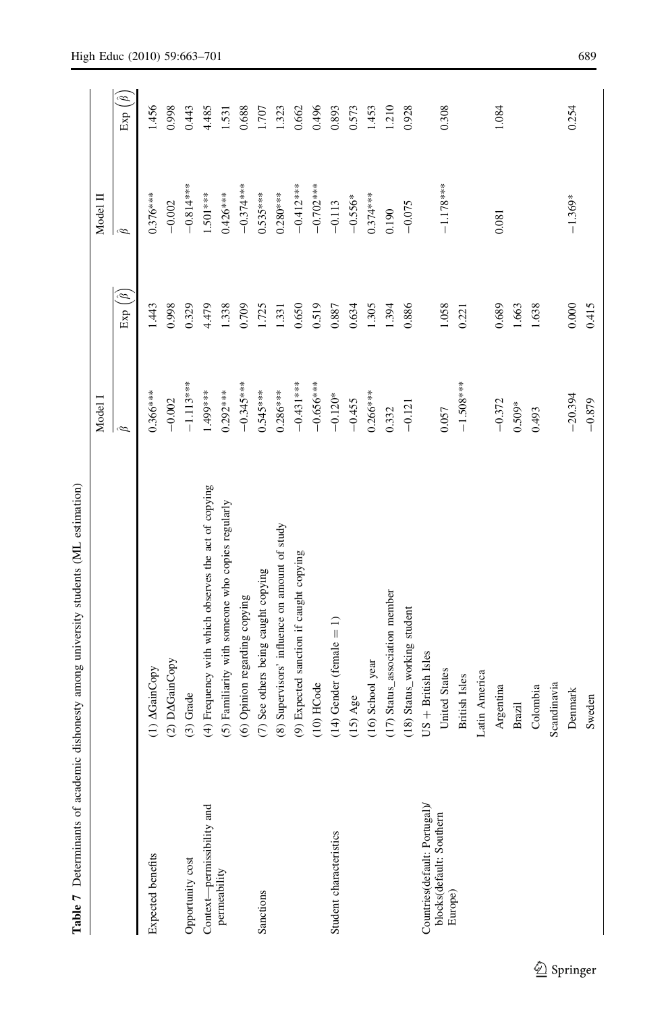| ļ<br>֚֚֡                                                                                    |
|---------------------------------------------------------------------------------------------|
|                                                                                             |
| ֧֧֧֦֧ׅ֧֧֧֦֧ׅ֧֧ׅ֧ׅ֧֧֧ׅ֧֛֧֧ׅ֛֧֛֚֚֚֚֚֚֚֚֚֚֚֚֚֚֚֚֚֚֚֚֚֚֚֚֚֚֡֕֡֡֓֝֓֝֓֜֓֝֓֓֜֓֝֬֜֜֓֝֬֜֓֝֬֝֬֜֝<br>i |
| ١<br>.<br>.<br>.                                                                            |
|                                                                                             |
|                                                                                             |
|                                                                                             |
|                                                                                             |
|                                                                                             |
| É<br>I                                                                                      |

<span id="page-26-0"></span>

|                                     |                                                      | Model I     |                                 | Model II     |                      |
|-------------------------------------|------------------------------------------------------|-------------|---------------------------------|--------------|----------------------|
|                                     |                                                      | ô           | $\widehat{\mathscr{S}}$<br>Exp( | ĝ            | $\mathscr{E}$<br>Ехр |
| Expected benefits                   | (1) AGainCopy                                        | $0.366***$  | 1.443                           | $0.376***$   | 1.456                |
|                                     | (2) DAGainCopy                                       | $-0.002$    | 0.998                           | $-0.002$     | 0.998                |
| Opportunity cost                    | $(3)$ Grade                                          | $-1.113***$ | 0.329                           | $-0.814***$  | 0.443                |
| Context-permissibility and          | (4) Frequency with which observes the act of copying | 1.499***    | 4.479                           | $1.501***$   | 4.485                |
| permeability                        | (5) Familiarity with someone who copies regularly    | $0.292***$  | 1.338                           | $0.426***$   | 1.531                |
|                                     | (6) Opinion regarding copying                        | $-0.345***$ | 0.709                           | $-0.374***$  | 0.688                |
| Sanctions                           | (7) See others being caught copying                  | $0.545***$  | 1.725                           | $0.535***$   | 1.707                |
|                                     | (8) Supervisors' influence on amount of study        | $0.286***$  | 1.331                           | $0.280***$   | 1.323                |
|                                     | (9) Expected sanction if caught copying              | $-0.431***$ | 0.650                           | $-0.412***$  | 0.662                |
|                                     | $(10)$ HCode                                         | $-0.656***$ | 0.519                           | $-0.702$ *** | 0.496                |
| Student characteristics             | $(14)$ Gender (female = 1)                           | $-0.120*$   | $0.887\,$                       | $-0.113$     | 0.893                |
|                                     | $(15)$ Age                                           | $-0.455$    | 0.634                           | $-0.556*$    | 0.573                |
|                                     | (16) School year                                     | $0.266***$  | 1.305                           | $0.374***$   | 1.453                |
|                                     | (17) Status_association member                       | 0.332       | 1.394                           | 0.190        | 1.210                |
|                                     | (18) Status_working student                          | $-0.121$    | 0.886                           | $-0.075$     | 0.928                |
| Countries (default: Portugal)/      | $US + British$ Isles                                 |             |                                 |              |                      |
| blocks(default: Southern<br>Europe) | <b>United States</b>                                 | 0.057       | 1.058                           | $-1.178***$  | 0.308                |
|                                     | <b>British Isles</b>                                 | $-1.508***$ | 0.221                           |              |                      |
|                                     | Latin America                                        |             |                                 |              |                      |
|                                     | Argentina                                            | $-0.372$    | 0.689                           | 0.081        | 1.084                |
|                                     | Brazil                                               | $0.509*$    | 1.663                           |              |                      |
|                                     | Colombia                                             | 0.493       | 1.638                           |              |                      |
|                                     | Scandinavia                                          |             |                                 |              |                      |
|                                     | Denmark                                              | $-20.394$   | 0.000                           | $-1.369*$    | 0.254                |
|                                     | Sweden                                               | $-0.879$    | 0.415                           |              |                      |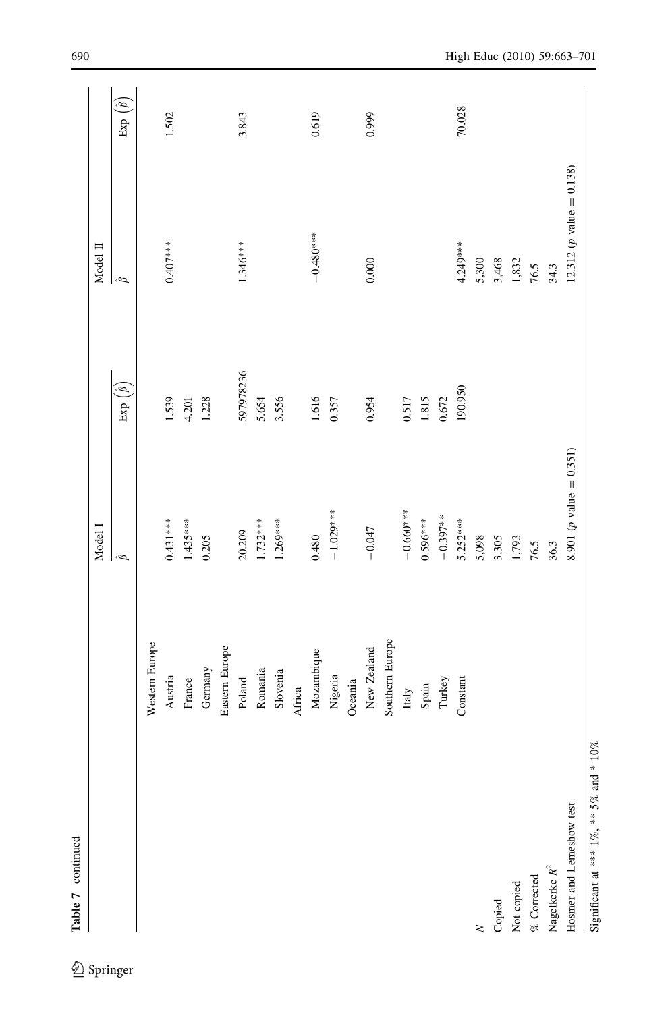|                                                                                                                  |                 | Model I                            |                                      | Model II                    |                              |
|------------------------------------------------------------------------------------------------------------------|-----------------|------------------------------------|--------------------------------------|-----------------------------|------------------------------|
|                                                                                                                  |                 | ô                                  | $\text{Exp}\left(\hat{\beta}\right)$ | ĝ                           | $(\widehat{\beta})$<br>Exp ( |
|                                                                                                                  | Western Europe  |                                    |                                      |                             |                              |
|                                                                                                                  | Austria         | $0.431***$                         | 1.539                                | $0.407***$                  | 1.502                        |
|                                                                                                                  | France          | $1.435***$                         | 4.201                                |                             |                              |
|                                                                                                                  | Germany         | 0.205                              | 1.228                                |                             |                              |
|                                                                                                                  | Eastern Europe  |                                    |                                      |                             |                              |
|                                                                                                                  | Poland          | 20.209                             | 597978236                            | $1.346***$                  | 3.843                        |
|                                                                                                                  | Romania         | $1.732***$                         | 5.654                                |                             |                              |
|                                                                                                                  | Slovenia        | $1.269***$                         | 3.556                                |                             |                              |
|                                                                                                                  | Africa          |                                    |                                      |                             |                              |
|                                                                                                                  | Mozambique      | 0.480                              | 1.616                                | $-0.480***$                 | 0.619                        |
|                                                                                                                  | Nigeria         | $-1.029***$                        | 0.357                                |                             |                              |
|                                                                                                                  | Oceania         |                                    |                                      |                             |                              |
|                                                                                                                  | New Zealand     | $-0.047$                           | 0.954                                | 0.000                       | 0.999                        |
|                                                                                                                  | Southern Europe |                                    |                                      |                             |                              |
|                                                                                                                  | Italy           | $-0.660***$                        | 0.517                                |                             |                              |
|                                                                                                                  | Spain           | $0.596***$                         | 1.815                                |                             |                              |
|                                                                                                                  | Turkey          | $-0.397**$                         | 0.672                                |                             |                              |
|                                                                                                                  | Constant        | $5.252***$                         | 190.950                              | 4.249***                    | 70.028                       |
| $\geq$                                                                                                           |                 | 5,098                              |                                      | 5,300                       |                              |
| Copied                                                                                                           |                 | 3,305                              |                                      | 3,468                       |                              |
| Not copied                                                                                                       |                 | 1,793                              |                                      | 1,832                       |                              |
| $\%$ Corrected                                                                                                   |                 | 76.5                               |                                      | 76.5                        |                              |
| Nagelkerke $\boldsymbol{R}^2$                                                                                    |                 | 36.3                               |                                      | 34.3                        |                              |
| Hosmer and Lemeshow test                                                                                         |                 | 8.901 ( <i>p</i> value = $0.351$ ) |                                      | 12.312 ( $p$ value = 0.138) |                              |
| 100<br>$\frac{d}{dt} \leq C \int_{0}^{t} \frac{d\mu}{dt} \, d\mu$<br>$C_{1}$ and $C_{2}$ and $C_{3}$ and $C_{4}$ |                 |                                    |                                      |                             |                              |

5% and \*  $10%$ Significant at \*\*\*  $1\%$ , \*\* 5% and \* 10%  $1\%$ Significant at <sup>3</sup>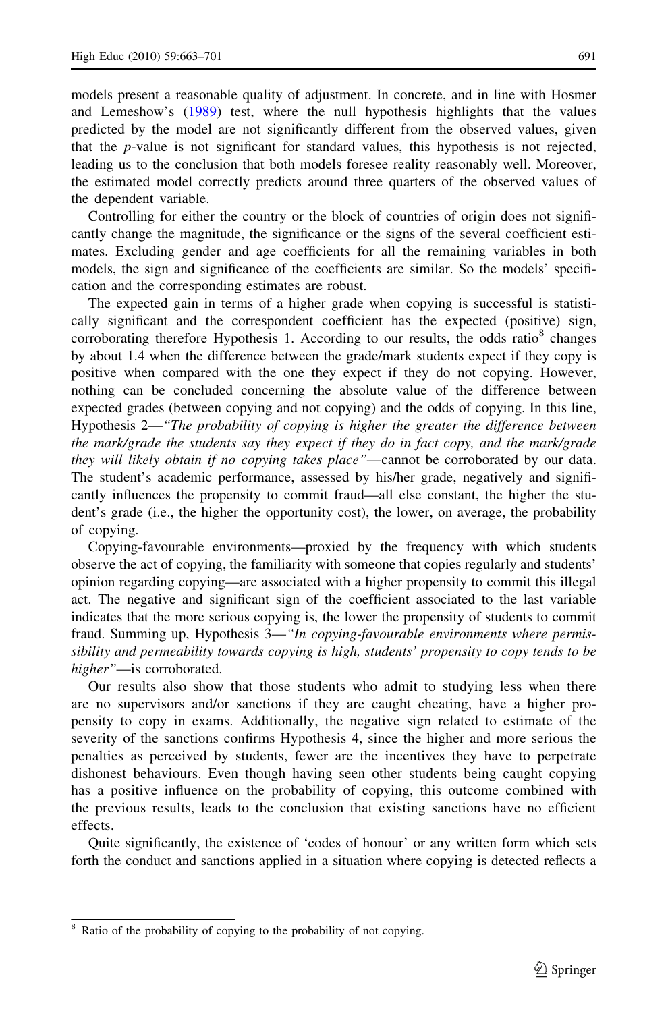models present a reasonable quality of adjustment. In concrete, and in line with Hosmer and Lemeshow's ([1989\)](#page-37-0) test, where the null hypothesis highlights that the values predicted by the model are not significantly different from the observed values, given that the *p*-value is not significant for standard values, this hypothesis is not rejected, leading us to the conclusion that both models foresee reality reasonably well. Moreover, the estimated model correctly predicts around three quarters of the observed values of the dependent variable.

Controlling for either the country or the block of countries of origin does not significantly change the magnitude, the significance or the signs of the several coefficient estimates. Excluding gender and age coefficients for all the remaining variables in both models, the sign and significance of the coefficients are similar. So the models' specification and the corresponding estimates are robust.

The expected gain in terms of a higher grade when copying is successful is statistically significant and the correspondent coefficient has the expected (positive) sign, corroborating therefore Hypothesis 1. According to our results, the odds ratio<sup>8</sup> changes by about 1.4 when the difference between the grade/mark students expect if they copy is positive when compared with the one they expect if they do not copying. However, nothing can be concluded concerning the absolute value of the difference between expected grades (between copying and not copying) and the odds of copying. In this line, Hypothesis 2—''The probability of copying is higher the greater the difference between the mark/grade the students say they expect if they do in fact copy, and the mark/grade they will likely obtain if no copying takes place"—cannot be corroborated by our data. The student's academic performance, assessed by his/her grade, negatively and significantly influences the propensity to commit fraud—all else constant, the higher the student's grade (i.e., the higher the opportunity cost), the lower, on average, the probability of copying.

Copying-favourable environments—proxied by the frequency with which students observe the act of copying, the familiarity with someone that copies regularly and students' opinion regarding copying—are associated with a higher propensity to commit this illegal act. The negative and significant sign of the coefficient associated to the last variable indicates that the more serious copying is, the lower the propensity of students to commit fraud. Summing up, Hypothesis 3—"In copying-favourable environments where permissibility and permeability towards copying is high, students' propensity to copy tends to be higher"—is corroborated.

Our results also show that those students who admit to studying less when there are no supervisors and/or sanctions if they are caught cheating, have a higher propensity to copy in exams. Additionally, the negative sign related to estimate of the severity of the sanctions confirms Hypothesis 4, since the higher and more serious the penalties as perceived by students, fewer are the incentives they have to perpetrate dishonest behaviours. Even though having seen other students being caught copying has a positive influence on the probability of copying, this outcome combined with the previous results, leads to the conclusion that existing sanctions have no efficient effects.

Quite significantly, the existence of 'codes of honour' or any written form which sets forth the conduct and sanctions applied in a situation where copying is detected reflects a

Ratio of the probability of copying to the probability of not copying.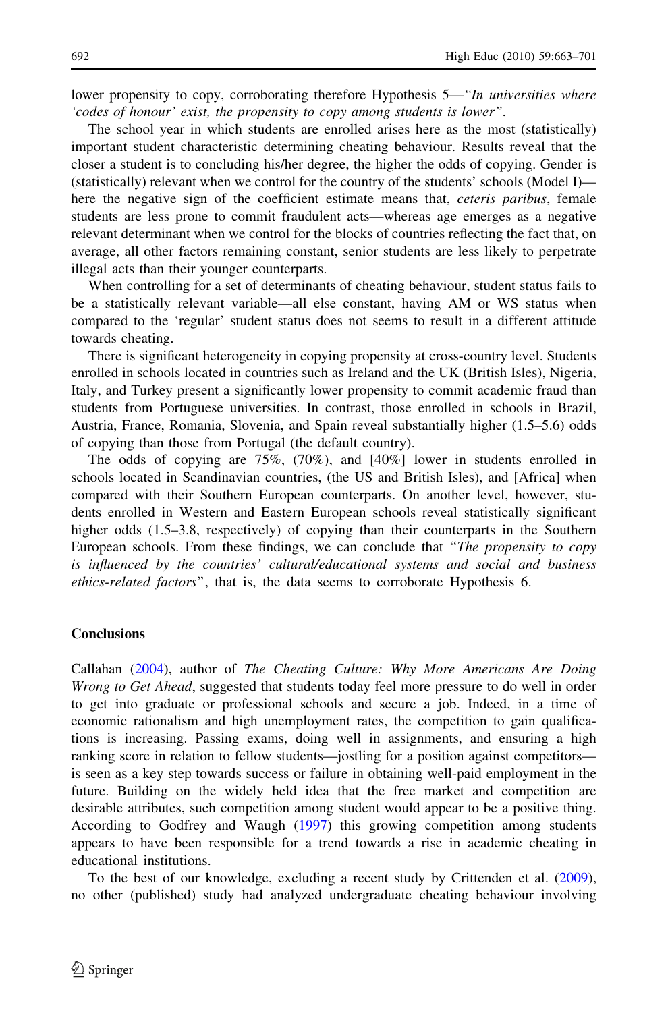lower propensity to copy, corroborating therefore Hypothesis 5—"In universities where 'codes of honour' exist, the propensity to copy among students is lower''.

The school year in which students are enrolled arises here as the most (statistically) important student characteristic determining cheating behaviour. Results reveal that the closer a student is to concluding his/her degree, the higher the odds of copying. Gender is (statistically) relevant when we control for the country of the students' schools (Model I) here the negative sign of the coefficient estimate means that, *ceteris paribus*, female students are less prone to commit fraudulent acts—whereas age emerges as a negative relevant determinant when we control for the blocks of countries reflecting the fact that, on average, all other factors remaining constant, senior students are less likely to perpetrate illegal acts than their younger counterparts.

When controlling for a set of determinants of cheating behaviour, student status fails to be a statistically relevant variable—all else constant, having AM or WS status when compared to the 'regular' student status does not seems to result in a different attitude towards cheating.

There is significant heterogeneity in copying propensity at cross-country level. Students enrolled in schools located in countries such as Ireland and the UK (British Isles), Nigeria, Italy, and Turkey present a significantly lower propensity to commit academic fraud than students from Portuguese universities. In contrast, those enrolled in schools in Brazil, Austria, France, Romania, Slovenia, and Spain reveal substantially higher (1.5–5.6) odds of copying than those from Portugal (the default country).

The odds of copying are 75%, (70%), and [40%] lower in students enrolled in schools located in Scandinavian countries, (the US and British Isles), and [Africa] when compared with their Southern European counterparts. On another level, however, students enrolled in Western and Eastern European schools reveal statistically significant higher odds  $(1.5-3.8,$  respectively) of copying than their counterparts in the Southern European schools. From these findings, we can conclude that ''The propensity to copy is influenced by the countries' cultural/educational systems and social and business ethics-related factors'', that is, the data seems to corroborate Hypothesis 6.

## **Conclusions**

Callahan ([2004\)](#page-36-0), author of The Cheating Culture: Why More Americans Are Doing Wrong to Get Ahead, suggested that students today feel more pressure to do well in order to get into graduate or professional schools and secure a job. Indeed, in a time of economic rationalism and high unemployment rates, the competition to gain qualifications is increasing. Passing exams, doing well in assignments, and ensuring a high ranking score in relation to fellow students—jostling for a position against competitors is seen as a key step towards success or failure in obtaining well-paid employment in the future. Building on the widely held idea that the free market and competition are desirable attributes, such competition among student would appear to be a positive thing. According to Godfrey and Waugh [\(1997](#page-36-0)) this growing competition among students appears to have been responsible for a trend towards a rise in academic cheating in educational institutions.

To the best of our knowledge, excluding a recent study by Crittenden et al. [\(2009](#page-36-0)), no other (published) study had analyzed undergraduate cheating behaviour involving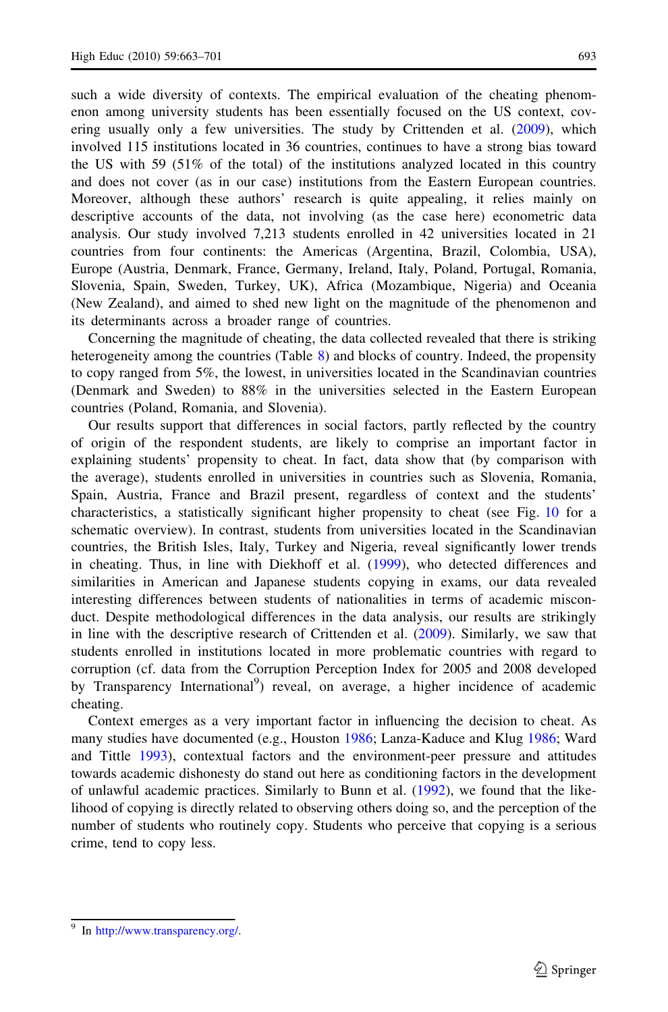such a wide diversity of contexts. The empirical evaluation of the cheating phenomenon among university students has been essentially focused on the US context, cov-ering usually only a few universities. The study by Crittenden et al. ([2009\)](#page-36-0), which involved 115 institutions located in 36 countries, continues to have a strong bias toward the US with 59 (51% of the total) of the institutions analyzed located in this country and does not cover (as in our case) institutions from the Eastern European countries. Moreover, although these authors' research is quite appealing, it relies mainly on descriptive accounts of the data, not involving (as the case here) econometric data analysis. Our study involved 7,213 students enrolled in 42 universities located in 21 countries from four continents: the Americas (Argentina, Brazil, Colombia, USA), Europe (Austria, Denmark, France, Germany, Ireland, Italy, Poland, Portugal, Romania, Slovenia, Spain, Sweden, Turkey, UK), Africa (Mozambique, Nigeria) and Oceania (New Zealand), and aimed to shed new light on the magnitude of the phenomenon and its determinants across a broader range of countries.

Concerning the magnitude of cheating, the data collected revealed that there is striking heterogeneity among the countries (Table [8\)](#page-32-0) and blocks of country. Indeed, the propensity to copy ranged from 5%, the lowest, in universities located in the Scandinavian countries (Denmark and Sweden) to 88% in the universities selected in the Eastern European countries (Poland, Romania, and Slovenia).

Our results support that differences in social factors, partly reflected by the country of origin of the respondent students, are likely to comprise an important factor in explaining students' propensity to cheat. In fact, data show that (by comparison with the average), students enrolled in universities in countries such as Slovenia, Romania, Spain, Austria, France and Brazil present, regardless of context and the students' characteristics, a statistically significant higher propensity to cheat (see Fig. [10](#page-33-0) for a schematic overview). In contrast, students from universities located in the Scandinavian countries, the British Isles, Italy, Turkey and Nigeria, reveal significantly lower trends in cheating. Thus, in line with Diekhoff et al. [\(1999](#page-36-0)), who detected differences and similarities in American and Japanese students copying in exams, our data revealed interesting differences between students of nationalities in terms of academic misconduct. Despite methodological differences in the data analysis, our results are strikingly in line with the descriptive research of Crittenden et al. [\(2009](#page-36-0)). Similarly, we saw that students enrolled in institutions located in more problematic countries with regard to corruption (cf. data from the Corruption Perception Index for 2005 and 2008 developed by Transparency International<sup>9</sup>) reveal, on average, a higher incidence of academic cheating.

Context emerges as a very important factor in influencing the decision to cheat. As many studies have documented (e.g., Houston [1986](#page-37-0); Lanza-Kaduce and Klug [1986](#page-37-0); Ward and Tittle [1993](#page-38-0)), contextual factors and the environment-peer pressure and attitudes towards academic dishonesty do stand out here as conditioning factors in the development of unlawful academic practices. Similarly to Bunn et al. [\(1992](#page-36-0)), we found that the likelihood of copying is directly related to observing others doing so, and the perception of the number of students who routinely copy. Students who perceive that copying is a serious crime, tend to copy less.

In [http://www.transparency.org/.](http://www.transparency.org/)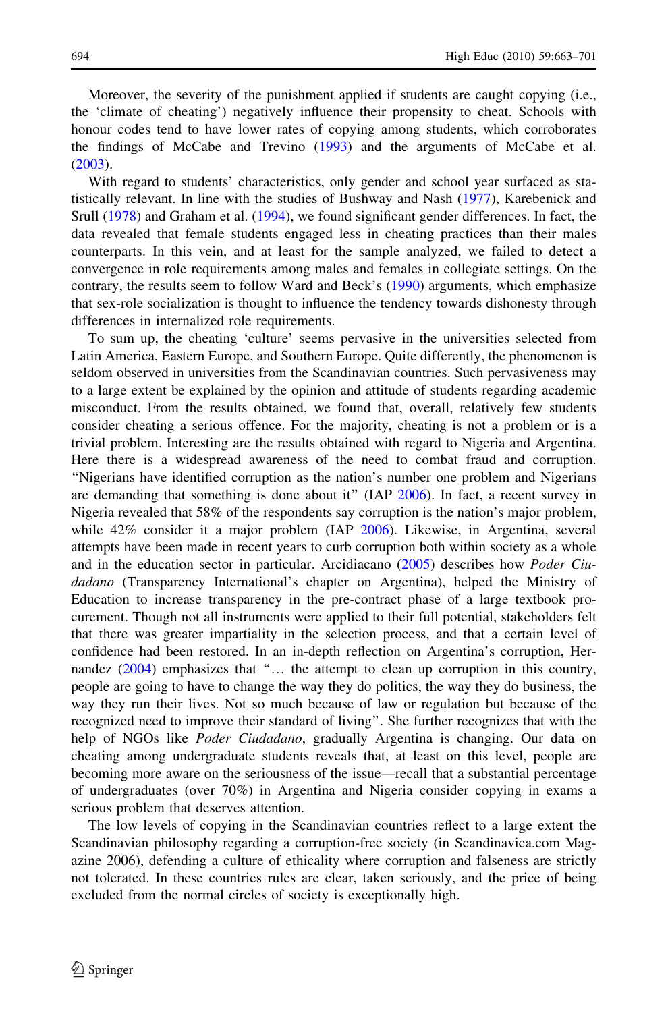Moreover, the severity of the punishment applied if students are caught copying (i.e., the 'climate of cheating') negatively influence their propensity to cheat. Schools with honour codes tend to have lower rates of copying among students, which corroborates the findings of McCabe and Trevino ([1993\)](#page-37-0) and the arguments of McCabe et al. ([2003\)](#page-37-0).

With regard to students' characteristics, only gender and school year surfaced as statistically relevant. In line with the studies of Bushway and Nash [\(1977](#page-36-0)), Karebenick and Srull ([1978\)](#page-37-0) and Graham et al. ([1994\)](#page-36-0), we found significant gender differences. In fact, the data revealed that female students engaged less in cheating practices than their males counterparts. In this vein, and at least for the sample analyzed, we failed to detect a convergence in role requirements among males and females in collegiate settings. On the contrary, the results seem to follow Ward and Beck's [\(1990](#page-38-0)) arguments, which emphasize that sex-role socialization is thought to influence the tendency towards dishonesty through differences in internalized role requirements.

To sum up, the cheating 'culture' seems pervasive in the universities selected from Latin America, Eastern Europe, and Southern Europe. Quite differently, the phenomenon is seldom observed in universities from the Scandinavian countries. Such pervasiveness may to a large extent be explained by the opinion and attitude of students regarding academic misconduct. From the results obtained, we found that, overall, relatively few students consider cheating a serious offence. For the majority, cheating is not a problem or is a trivial problem. Interesting are the results obtained with regard to Nigeria and Argentina. Here there is a widespread awareness of the need to combat fraud and corruption. ''Nigerians have identified corruption as the nation's number one problem and Nigerians are demanding that something is done about it'' (IAP [2006\)](#page-37-0). In fact, a recent survey in Nigeria revealed that 58% of the respondents say corruption is the nation's major problem, while 42% consider it a major problem (IAP [2006](#page-37-0)). Likewise, in Argentina, several attempts have been made in recent years to curb corruption both within society as a whole and in the education sector in particular. Arcidiacano [\(2005](#page-35-0)) describes how Poder Ciudadano (Transparency International's chapter on Argentina), helped the Ministry of Education to increase transparency in the pre-contract phase of a large textbook procurement. Though not all instruments were applied to their full potential, stakeholders felt that there was greater impartiality in the selection process, and that a certain level of confidence had been restored. In an in-depth reflection on Argentina's corruption, Her-nandez ([2004\)](#page-37-0) emphasizes that "... the attempt to clean up corruption in this country, people are going to have to change the way they do politics, the way they do business, the way they run their lives. Not so much because of law or regulation but because of the recognized need to improve their standard of living''. She further recognizes that with the help of NGOs like *Poder Ciudadano*, gradually Argentina is changing. Our data on cheating among undergraduate students reveals that, at least on this level, people are becoming more aware on the seriousness of the issue—recall that a substantial percentage of undergraduates (over 70%) in Argentina and Nigeria consider copying in exams a serious problem that deserves attention.

The low levels of copying in the Scandinavian countries reflect to a large extent the Scandinavian philosophy regarding a corruption-free society (in Scandinavica.com Magazine 2006), defending a culture of ethicality where corruption and falseness are strictly not tolerated. In these countries rules are clear, taken seriously, and the price of being excluded from the normal circles of society is exceptionally high.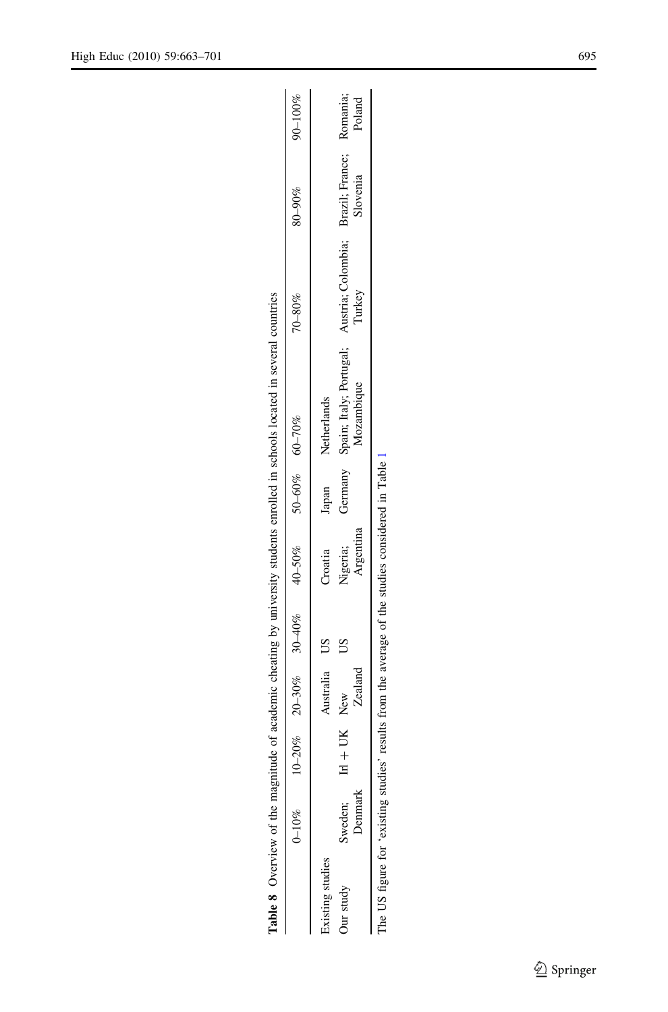<span id="page-32-0"></span>

|                                     |                    |            |              |                                                               |       | Table 8 Overview of the magnitude of academic cheating by university students enrolled in schools located in several countries |        |             |         |
|-------------------------------------|--------------------|------------|--------------|---------------------------------------------------------------|-------|--------------------------------------------------------------------------------------------------------------------------------|--------|-------------|---------|
|                                     | $0-10\%$           |            |              | $\frac{10\%}{100\%}$ 20-30% 30-40% 40% 50% 50-60% 60-70%      |       |                                                                                                                                | 70-80% | $80 - 90\%$ | 90-100% |
| Existing studies                    |                    |            | Australia US | Croatia                                                       | Japan | Netherlands                                                                                                                    |        |             |         |
| Our study                           | Sweden;<br>Denmark | $+ UK$ New | Zealand      | Argentina<br>Vigeria;                                         |       | Germany Spain; Italy; Portugal; Austria; Colombia; Brazil; France; Romania;<br>Mozambique Turkey                               |        |             |         |
| The US figure for 'existing studies |                    |            |              | results from the average of the studies considered in Table 1 |       |                                                                                                                                |        |             |         |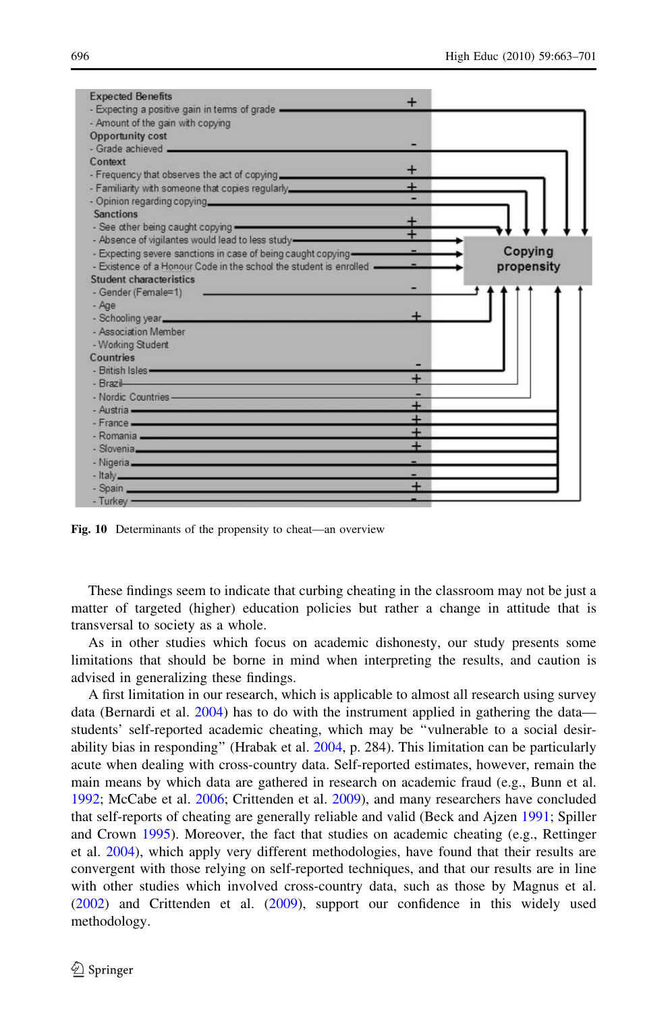<span id="page-33-0"></span>

| <b>Expected Benefits</b>                                                                                                                                                                                                             |           |            |
|--------------------------------------------------------------------------------------------------------------------------------------------------------------------------------------------------------------------------------------|-----------|------------|
| - Expecting a positive gain in tems of grade -<br>- Amount of the gain with copying                                                                                                                                                  |           |            |
| <b>Opportunity cost</b>                                                                                                                                                                                                              |           |            |
| - Grade achieved <b>All According to the Contract of According to the Contract of According Contract of According to According the Contract of According to According the Contract of According to According the Contract of Acc</b> |           |            |
| Context                                                                                                                                                                                                                              |           |            |
| - Frequency that observes the act of copying                                                                                                                                                                                         |           |            |
| - Familiarity with someone that copies regularly.                                                                                                                                                                                    | $\ddot{}$ |            |
| - Opinion regarding copying <b>company of the company of the company</b>                                                                                                                                                             |           |            |
| Sanctions                                                                                                                                                                                                                            |           |            |
| - See other being caught copying - The Context of the Context of the Context of the Context of the Context of                                                                                                                        |           |            |
| - Absence of vigilantes would lead to less study-                                                                                                                                                                                    |           |            |
| - Expecting severe sanctions in case of being caught copying-                                                                                                                                                                        |           | Copying    |
| - Existence of a Honour Code in the school the student is enrolled                                                                                                                                                                   |           | propensity |
| Student characteristics                                                                                                                                                                                                              |           |            |
| - Gender (Female=1)                                                                                                                                                                                                                  |           |            |
| $-Age$                                                                                                                                                                                                                               |           |            |
| - Schooling year                                                                                                                                                                                                                     |           |            |
| - Association Member                                                                                                                                                                                                                 |           |            |
| - Working Student                                                                                                                                                                                                                    |           |            |
| Countries                                                                                                                                                                                                                            |           |            |
| - British Isles                                                                                                                                                                                                                      |           |            |
| $-Brazl$                                                                                                                                                                                                                             |           |            |
| - Nordic Countries - The Countries - The Countries - The Countries - The Countries - The Countries - The Countries - The Countries - The Countries - The Countries - The Countries - The Countries - The Countries - The Count       |           |            |
| - Austria <b>Contract Contract Contract Contract Contract Contract Contract Contract Contract Contract Contract Contract Contract Contract Contract Contract Contract Contract Contract Contract Contract Contract Contract Cont</b> |           |            |
| - France <b>Contract Contract Contract Contract Contract Contract Contract Contract Contract Contract Contract Contract Contract Contract Contract Contract Contract Contract Contract Contract Contract Contract Contract Contr</b> |           |            |
| - Romania <u>- Andrea Manuel Andrea Manuel Andrea Manuel Andrea Manuel Andrea Manuel Andrea Manuel Andrea Manuel Andrea Manuel Andrea Manuel Andrea Manuel Andrea Manuel Andrea Manuel Andrea Manuel Andrea Manuel Andrea Manuel</u> |           |            |
| - Slovenia et al. 2001 - Slovenia et al. 2001 - Slovenia et al. 2001 - Slovenia et al. 2001 - Slovenia et al.                                                                                                                        |           |            |
| - Nigeria <b>Alliance and Community Community</b>                                                                                                                                                                                    |           |            |
| - Italy <b>All Andreas Communities</b> and the communities of the communities of the communities of the communities of                                                                                                               |           |            |
| - Spain                                                                                                                                                                                                                              |           |            |
| - Turkey - Turkey - Turkey - Turkey - Turkey - Turkey - Turkey - Turkey - Turkey - Turkey - Turkey - Turkey - Turkey - Turkey - Turkey - Turkey - Turkey - Turkey - Turkey - Turkey - Turkey - Turkey - Turkey - Turkey - Turk       |           |            |

Fig. 10 Determinants of the propensity to cheat—an overview

These findings seem to indicate that curbing cheating in the classroom may not be just a matter of targeted (higher) education policies but rather a change in attitude that is transversal to society as a whole.

As in other studies which focus on academic dishonesty, our study presents some limitations that should be borne in mind when interpreting the results, and caution is advised in generalizing these findings.

A first limitation in our research, which is applicable to almost all research using survey data (Bernardi et al. [2004](#page-36-0)) has to do with the instrument applied in gathering the data students' self-reported academic cheating, which may be ''vulnerable to a social desirability bias in responding'' (Hrabak et al. [2004](#page-37-0), p. 284). This limitation can be particularly acute when dealing with cross-country data. Self-reported estimates, however, remain the main means by which data are gathered in research on academic fraud (e.g., Bunn et al. [1992;](#page-36-0) McCabe et al. [2006;](#page-37-0) Crittenden et al. [2009\)](#page-36-0), and many researchers have concluded that self-reports of cheating are generally reliable and valid (Beck and Ajzen [1991;](#page-36-0) Spiller and Crown [1995](#page-38-0)). Moreover, the fact that studies on academic cheating (e.g., Rettinger et al. [2004\)](#page-38-0), which apply very different methodologies, have found that their results are convergent with those relying on self-reported techniques, and that our results are in line with other studies which involved cross-country data, such as those by Magnus et al. ([2002\)](#page-37-0) and Crittenden et al. [\(2009\)](#page-36-0), support our confidence in this widely used methodology.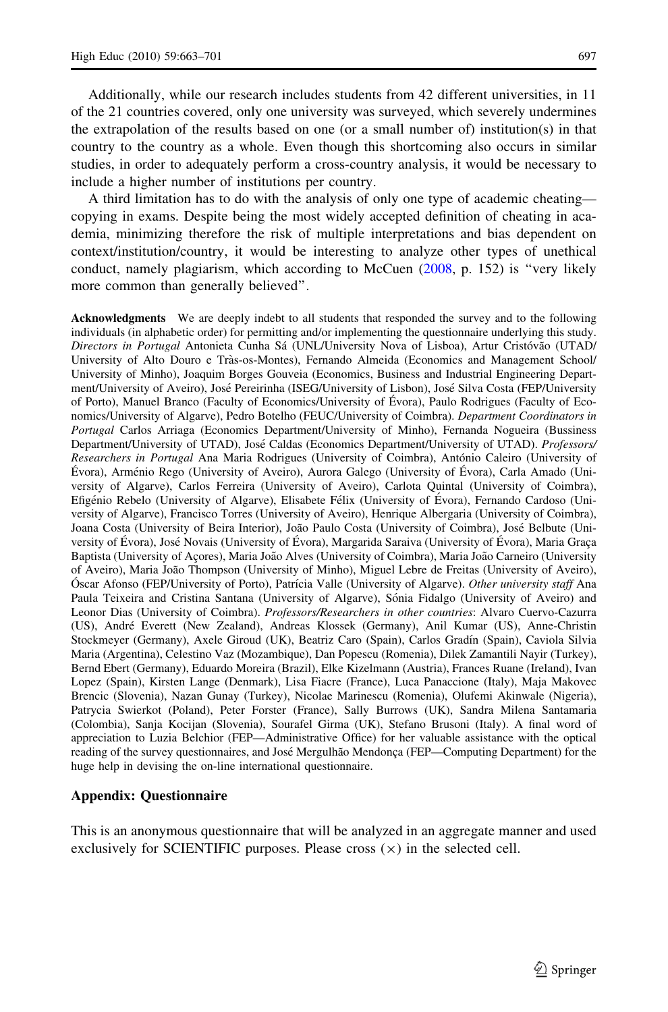<span id="page-34-0"></span>Additionally, while our research includes students from 42 different universities, in 11 of the 21 countries covered, only one university was surveyed, which severely undermines the extrapolation of the results based on one (or a small number of) institution(s) in that country to the country as a whole. Even though this shortcoming also occurs in similar studies, in order to adequately perform a cross-country analysis, it would be necessary to include a higher number of institutions per country.

A third limitation has to do with the analysis of only one type of academic cheating copying in exams. Despite being the most widely accepted definition of cheating in academia, minimizing therefore the risk of multiple interpretations and bias dependent on context/institution/country, it would be interesting to analyze other types of unethical conduct, namely plagiarism, which according to McCuen ([2008,](#page-37-0) p. 152) is ''very likely more common than generally believed''.

Acknowledgments We are deeply indebt to all students that responded the survey and to the following individuals (in alphabetic order) for permitting and/or implementing the questionnaire underlying this study. Directors in Portugal Antonieta Cunha Sá (UNL/University Nova of Lisboa), Artur Cristóvão (UTAD/ University of Alto Douro e Tràs-os-Montes), Fernando Almeida (Economics and Management School/ University of Minho), Joaquim Borges Gouveia (Economics, Business and Industrial Engineering Department/University of Aveiro), Jose´ Pereirinha (ISEG/University of Lisbon), Jose´ Silva Costa (FEP/University of Porto), Manuel Branco (Faculty of Economics/University of Évora), Paulo Rodrigues (Faculty of Economics/University of Algarve), Pedro Botelho (FEUC/University of Coimbra). Department Coordinators in Portugal Carlos Arriaga (Economics Department/University of Minho), Fernanda Nogueira (Bussiness Department/University of UTAD), José Caldas (Economics Department/University of UTAD). Professors/ Researchers in Portugal Ana Maria Rodrigues (University of Coimbra), António Caleiro (University of Evora), Arménio Rego (University of Aveiro), Aurora Galego (University of Evora), Carla Amado (University of Algarve), Carlos Ferreira (University of Aveiro), Carlota Quintal (University of Coimbra), Efigénio Rebelo (University of Algarve), Elisabete Félix (University of Évora), Fernando Cardoso (University of Algarve), Francisco Torres (University of Aveiro), Henrique Albergaria (University of Coimbra), Joana Costa (University of Beira Interior), João Paulo Costa (University of Coimbra), José Belbute (University of Évora), José Novais (University of Évora), Margarida Saraiva (University of Évora), Maria Graça Baptista (University of Açores), Maria João Alves (University of Coimbra), Maria João Carneiro (University of Aveiro), Maria João Thompson (University of Minho), Miguel Lebre de Freitas (University of Aveiro), Oscar Afonso (FEP/University of Porto), Patrícia Valle (University of Algarve). Other university staff Ana Paula Teixeira and Cristina Santana (University of Algarve), Sónia Fidalgo (University of Aveiro) and Leonor Dias (University of Coimbra). Professors/Researchers in other countries: Alvaro Cuervo-Cazurra (US), Andre´ Everett (New Zealand), Andreas Klossek (Germany), Anil Kumar (US), Anne-Christin Stockmeyer (Germany), Axele Giroud (UK), Beatriz Caro (Spain), Carlos Gradı´n (Spain), Caviola Silvia Maria (Argentina), Celestino Vaz (Mozambique), Dan Popescu (Romenia), Dilek Zamantili Nayir (Turkey), Bernd Ebert (Germany), Eduardo Moreira (Brazil), Elke Kizelmann (Austria), Frances Ruane (Ireland), Ivan Lopez (Spain), Kirsten Lange (Denmark), Lisa Fiacre (France), Luca Panaccione (Italy), Maja Makovec Brencic (Slovenia), Nazan Gunay (Turkey), Nicolae Marinescu (Romenia), Olufemi Akinwale (Nigeria), Patrycia Swierkot (Poland), Peter Forster (France), Sally Burrows (UK), Sandra Milena Santamaria (Colombia), Sanja Kocijan (Slovenia), Sourafel Girma (UK), Stefano Brusoni (Italy). A final word of appreciation to Luzia Belchior (FEP—Administrative Office) for her valuable assistance with the optical reading of the survey questionnaires, and José Mergulhão Mendonça (FEP—Computing Department) for the huge help in devising the on-line international questionnaire.

## Appendix: Questionnaire

This is an anonymous questionnaire that will be analyzed in an aggregate manner and used exclusively for SCIENTIFIC purposes. Please cross  $(x)$  in the selected cell.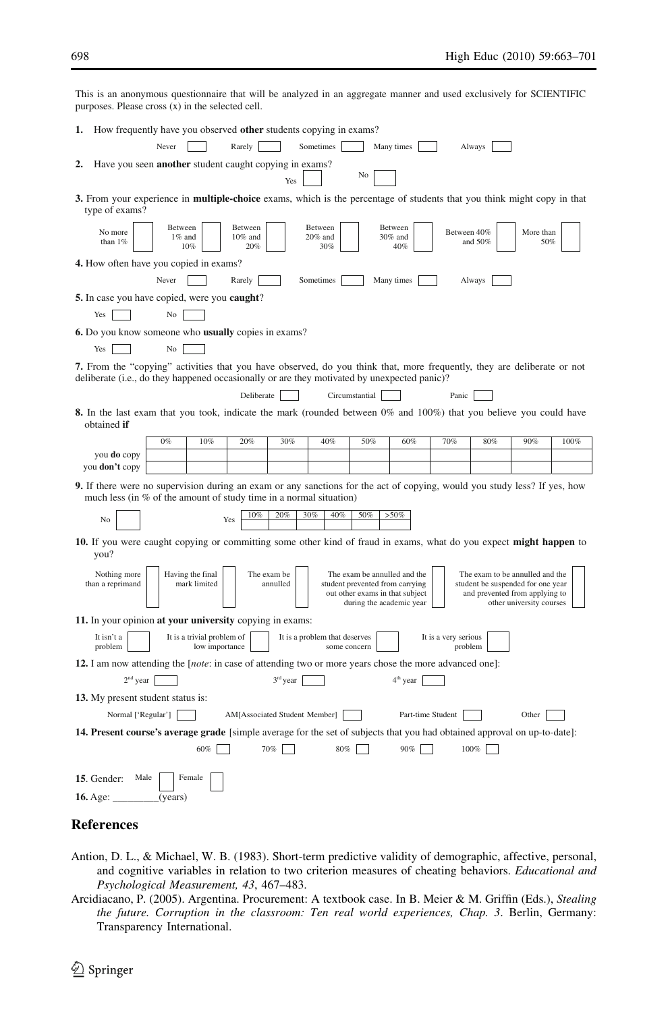<span id="page-35-0"></span>

| This is an anonymous questionnaire that will be analyzed in an aggregate manner and used exclusively for SCIENTIFIC<br>purposes. Please cross (x) in the selected cell.<br>How frequently have you observed other students copying in exams?                                                                                                                            |                                                                                                                           |       |     |        |     |           |     |            |     |        |     |      |
|-------------------------------------------------------------------------------------------------------------------------------------------------------------------------------------------------------------------------------------------------------------------------------------------------------------------------------------------------------------------------|---------------------------------------------------------------------------------------------------------------------------|-------|-----|--------|-----|-----------|-----|------------|-----|--------|-----|------|
| 1.                                                                                                                                                                                                                                                                                                                                                                      |                                                                                                                           |       |     |        |     |           |     |            |     |        |     |      |
|                                                                                                                                                                                                                                                                                                                                                                         |                                                                                                                           | Never |     | Rarely |     | Sometimes |     | Many times |     | Always |     |      |
| Have you seen another student caught copying in exams?<br>2.<br>No<br>Yes                                                                                                                                                                                                                                                                                               |                                                                                                                           |       |     |        |     |           |     |            |     |        |     |      |
| 3. From your experience in <b>multiple-choice</b> exams, which is the percentage of students that you think might copy in that<br>type of exams?                                                                                                                                                                                                                        |                                                                                                                           |       |     |        |     |           |     |            |     |        |     |      |
| Between<br>Between<br>Between<br>Between<br>Between 40%<br>More than<br>No more<br>1% and<br>$10\%$ and<br>$20\%$ and<br>30% and<br>than 1%<br>and 50%<br>50%<br>10%<br>20%<br>30%<br>40%                                                                                                                                                                               |                                                                                                                           |       |     |        |     |           |     |            |     |        |     |      |
|                                                                                                                                                                                                                                                                                                                                                                         | 4. How often have you copied in exams?                                                                                    |       |     |        |     |           |     |            |     |        |     |      |
|                                                                                                                                                                                                                                                                                                                                                                         |                                                                                                                           | Never |     | Rarely |     | Sometimes |     | Many times |     | Always |     |      |
|                                                                                                                                                                                                                                                                                                                                                                         | 5. In case you have copied, were you caught?                                                                              |       |     |        |     |           |     |            |     |        |     |      |
|                                                                                                                                                                                                                                                                                                                                                                         | Yes                                                                                                                       | No    |     |        |     |           |     |            |     |        |     |      |
|                                                                                                                                                                                                                                                                                                                                                                         | 6. Do you know someone who usually copies in exams?                                                                       |       |     |        |     |           |     |            |     |        |     |      |
|                                                                                                                                                                                                                                                                                                                                                                         | Yes                                                                                                                       | No.   |     |        |     |           |     |            |     |        |     |      |
| 7. From the "copying" activities that you have observed, do you think that, more frequently, they are deliberate or not                                                                                                                                                                                                                                                 |                                                                                                                           |       |     |        |     |           |     |            |     |        |     |      |
| deliberate (i.e., do they happened occasionally or are they motivated by unexpected panic)?<br>Deliberate<br>Circumstantial<br>Panic                                                                                                                                                                                                                                    |                                                                                                                           |       |     |        |     |           |     |            |     |        |     |      |
| <b>8.</b> In the last exam that you took, indicate the mark (rounded between 0% and 100%) that you believe you could have<br>obtained if                                                                                                                                                                                                                                |                                                                                                                           |       |     |        |     |           |     |            |     |        |     |      |
|                                                                                                                                                                                                                                                                                                                                                                         |                                                                                                                           | $0\%$ | 10% | 20%    | 30% | 40%       | 50% | 60%        | 70% | 80%    | 90% | 100% |
|                                                                                                                                                                                                                                                                                                                                                                         | you do copy<br>you don't copy                                                                                             |       |     |        |     |           |     |            |     |        |     |      |
|                                                                                                                                                                                                                                                                                                                                                                         | 9. If there were no supervision during an exam or any sanctions for the act of copying, would you study less? If yes, how |       |     |        |     |           |     |            |     |        |     |      |
| much less (in % of the amount of study time in a normal situation)<br>40%<br>50%<br>10%<br>20%<br>30%<br>$>50\%$<br>No<br>Yes                                                                                                                                                                                                                                           |                                                                                                                           |       |     |        |     |           |     |            |     |        |     |      |
| 10. If you were caught copying or committing some other kind of fraud in exams, what do you expect might happen to<br>you?                                                                                                                                                                                                                                              |                                                                                                                           |       |     |        |     |           |     |            |     |        |     |      |
| Having the final<br>The exam be<br>Nothing more<br>The exam be annulled and the<br>The exam to be annulled and the<br>than a reprimand<br>mark limited<br>student prevented from carrying<br>student be suspended for one year<br>annulled<br>and prevented from applying to<br>out other exams in that subject<br>during the academic year<br>other university courses |                                                                                                                           |       |     |        |     |           |     |            |     |        |     |      |
| 11. In your opinion at your university copying in exams:                                                                                                                                                                                                                                                                                                                |                                                                                                                           |       |     |        |     |           |     |            |     |        |     |      |
| It is a trivial problem of<br>It is a problem that deserves<br>It isn't a<br>It is a very serious<br>problem<br>low importance<br>some concern<br>problem                                                                                                                                                                                                               |                                                                                                                           |       |     |        |     |           |     |            |     |        |     |      |
| 12. I am now attending the $[note:$ in case of attending two or more years chose the more advanced one]:                                                                                                                                                                                                                                                                |                                                                                                                           |       |     |        |     |           |     |            |     |        |     |      |
| $2nd$ year<br>$3rd$ vear  <br>$4th$ year                                                                                                                                                                                                                                                                                                                                |                                                                                                                           |       |     |        |     |           |     |            |     |        |     |      |
| 13. My present student status is:                                                                                                                                                                                                                                                                                                                                       |                                                                                                                           |       |     |        |     |           |     |            |     |        |     |      |
| Normal ['Regular']<br>AM[Associated Student Member]<br>Part-time Student<br>Other                                                                                                                                                                                                                                                                                       |                                                                                                                           |       |     |        |     |           |     |            |     |        |     |      |
| <b>14. Present course's average grade</b> [simple average for the set of subjects that you had obtained approval on up-to-date]:                                                                                                                                                                                                                                        |                                                                                                                           |       |     |        |     |           |     |            |     |        |     |      |
|                                                                                                                                                                                                                                                                                                                                                                         |                                                                                                                           |       | 60% |        | 70% | 80%       |     | 90%        |     | 100%   |     |      |
| Female<br>Male<br>15. Gender:                                                                                                                                                                                                                                                                                                                                           |                                                                                                                           |       |     |        |     |           |     |            |     |        |     |      |
| $16. \text{Age:}$<br>(years)                                                                                                                                                                                                                                                                                                                                            |                                                                                                                           |       |     |        |     |           |     |            |     |        |     |      |

# References

- Antion, D. L., & Michael, W. B. (1983). Short-term predictive validity of demographic, affective, personal, and cognitive variables in relation to two criterion measures of cheating behaviors. Educational and Psychological Measurement, 43, 467–483.
- Arcidiacano, P. (2005). Argentina. Procurement: A textbook case. In B. Meier & M. Griffin (Eds.), Stealing the future. Corruption in the classroom: Ten real world experiences, Chap. 3. Berlin, Germany: Transparency International.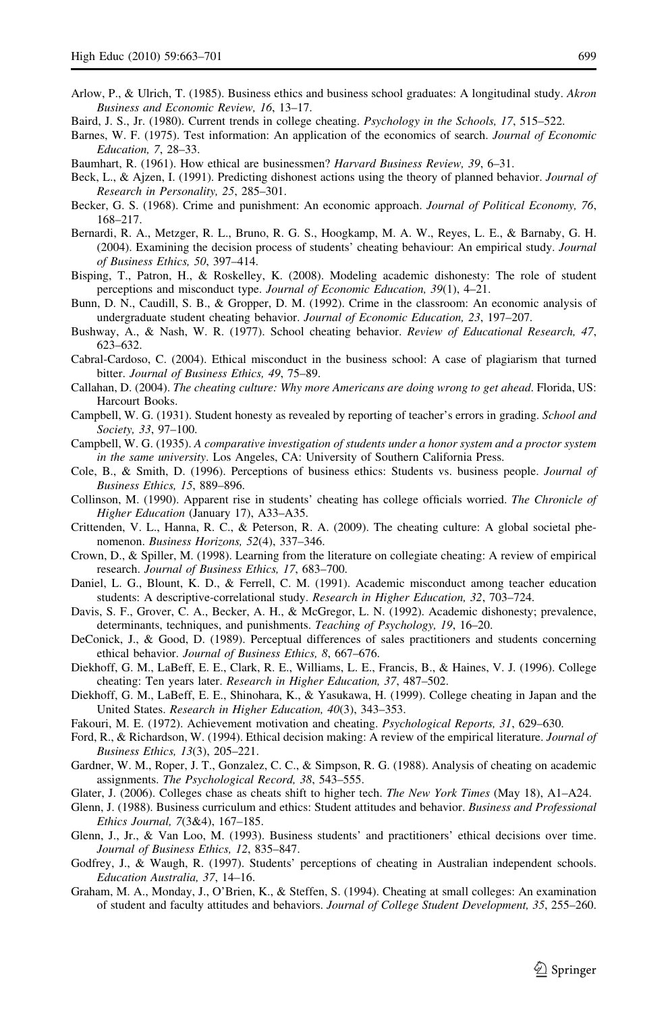- <span id="page-36-0"></span>Arlow, P., & Ulrich, T. (1985). Business ethics and business school graduates: A longitudinal study. Akron Business and Economic Review, 16, 13–17.
- Baird, J. S., Jr. (1980). Current trends in college cheating. Psychology in the Schools, 17, 515–522.
- Barnes, W. F. (1975). Test information: An application of the economics of search. Journal of Economic Education, 7, 28–33.
- Baumhart, R. (1961). How ethical are businessmen? Harvard Business Review, 39, 6–31.
- Beck, L., & Ajzen, I. (1991). Predicting dishonest actions using the theory of planned behavior. Journal of Research in Personality, 25, 285–301.
- Becker, G. S. (1968). Crime and punishment: An economic approach. Journal of Political Economy, 76, 168–217.
- Bernardi, R. A., Metzger, R. L., Bruno, R. G. S., Hoogkamp, M. A. W., Reyes, L. E., & Barnaby, G. H. (2004). Examining the decision process of students' cheating behaviour: An empirical study. Journal of Business Ethics, 50, 397–414.
- Bisping, T., Patron, H., & Roskelley, K. (2008). Modeling academic dishonesty: The role of student perceptions and misconduct type. Journal of Economic Education, 39(1), 4–21.
- Bunn, D. N., Caudill, S. B., & Gropper, D. M. (1992). Crime in the classroom: An economic analysis of undergraduate student cheating behavior. Journal of Economic Education, 23, 197–207.
- Bushway, A., & Nash, W. R. (1977). School cheating behavior. Review of Educational Research, 47, 623–632.
- Cabral-Cardoso, C. (2004). Ethical misconduct in the business school: A case of plagiarism that turned bitter. Journal of Business Ethics, 49, 75–89.
- Callahan, D. (2004). The cheating culture: Why more Americans are doing wrong to get ahead. Florida, US: Harcourt Books.
- Campbell, W. G. (1931). Student honesty as revealed by reporting of teacher's errors in grading. School and Society, 33, 97–100.
- Campbell, W. G. (1935). A comparative investigation of students under a honor system and a proctor system in the same university. Los Angeles, CA: University of Southern California Press.
- Cole, B., & Smith, D. (1996). Perceptions of business ethics: Students vs. business people. Journal of Business Ethics, 15, 889–896.
- Collinson, M. (1990). Apparent rise in students' cheating has college officials worried. The Chronicle of Higher Education (January 17), A33–A35.
- Crittenden, V. L., Hanna, R. C., & Peterson, R. A. (2009). The cheating culture: A global societal phenomenon. Business Horizons, 52(4), 337–346.
- Crown, D., & Spiller, M. (1998). Learning from the literature on collegiate cheating: A review of empirical research. Journal of Business Ethics, 17, 683–700.
- Daniel, L. G., Blount, K. D., & Ferrell, C. M. (1991). Academic misconduct among teacher education students: A descriptive-correlational study. Research in Higher Education, 32, 703–724.
- Davis, S. F., Grover, C. A., Becker, A. H., & McGregor, L. N. (1992). Academic dishonesty; prevalence, determinants, techniques, and punishments. Teaching of Psychology, 19, 16–20.
- DeConick, J., & Good, D. (1989). Perceptual differences of sales practitioners and students concerning ethical behavior. Journal of Business Ethics, 8, 667–676.
- Diekhoff, G. M., LaBeff, E. E., Clark, R. E., Williams, L. E., Francis, B., & Haines, V. J. (1996). College cheating: Ten years later. Research in Higher Education, 37, 487–502.
- Diekhoff, G. M., LaBeff, E. E., Shinohara, K., & Yasukawa, H. (1999). College cheating in Japan and the United States. Research in Higher Education, 40(3), 343–353.
- Fakouri, M. E. (1972). Achievement motivation and cheating. Psychological Reports, 31, 629–630.
- Ford, R., & Richardson, W. (1994). Ethical decision making: A review of the empirical literature. Journal of Business Ethics, 13(3), 205–221.
- Gardner, W. M., Roper, J. T., Gonzalez, C. C., & Simpson, R. G. (1988). Analysis of cheating on academic assignments. The Psychological Record, 38, 543–555.
- Glater, J. (2006). Colleges chase as cheats shift to higher tech. The New York Times (May 18), A1-A24.
- Glenn, J. (1988). Business curriculum and ethics: Student attitudes and behavior. Business and Professional Ethics Journal, 7(3&4), 167–185.
- Glenn, J., Jr., & Van Loo, M. (1993). Business students' and practitioners' ethical decisions over time. Journal of Business Ethics, 12, 835–847.
- Godfrey, J., & Waugh, R. (1997). Students' perceptions of cheating in Australian independent schools. Education Australia, 37, 14–16.
- Graham, M. A., Monday, J., O'Brien, K., & Steffen, S. (1994). Cheating at small colleges: An examination of student and faculty attitudes and behaviors. Journal of College Student Development, 35, 255–260.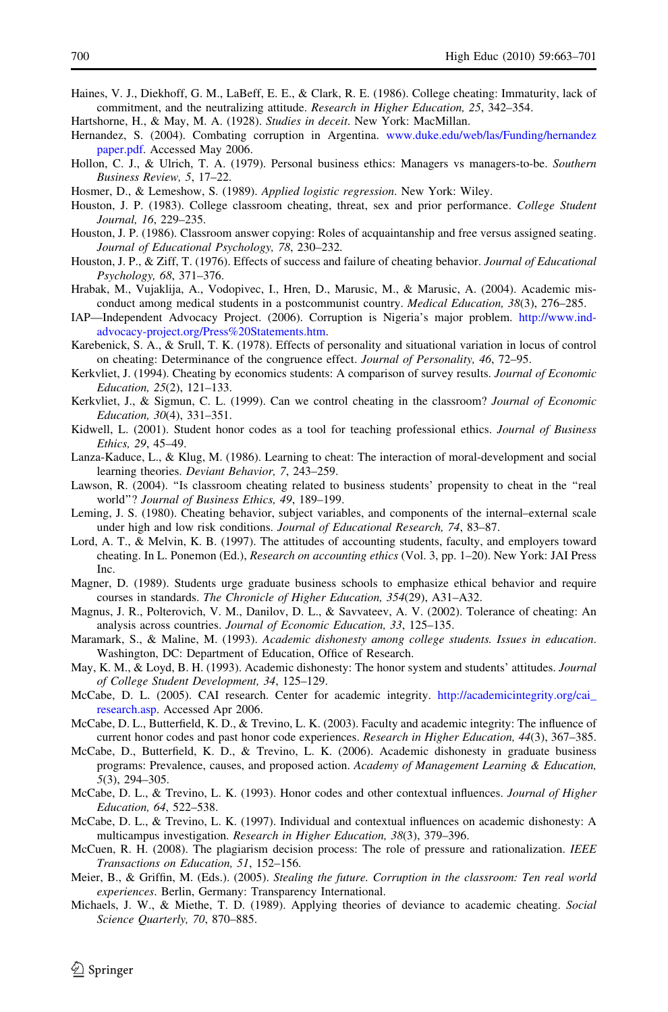<span id="page-37-0"></span>Haines, V. J., Diekhoff, G. M., LaBeff, E. E., & Clark, R. E. (1986). College cheating: Immaturity, lack of commitment, and the neutralizing attitude. Research in Higher Education, 25, 342–354.

- Hernandez, S. (2004). Combating corruption in Argentina. [www.duke.edu/web/las/Funding/hernandez](http://www.duke.edu/web/las/Funding/hernandezpaper.pdf) [paper.pdf](http://www.duke.edu/web/las/Funding/hernandezpaper.pdf). Accessed May 2006.
- Hollon, C. J., & Ulrich, T. A. (1979). Personal business ethics: Managers vs managers-to-be. Southern Business Review, 5, 17–22.
- Hosmer, D., & Lemeshow, S. (1989). Applied logistic regression. New York: Wiley.
- Houston, J. P. (1983). College classroom cheating, threat, sex and prior performance. College Student Journal, 16, 229–235.
- Houston, J. P. (1986). Classroom answer copying: Roles of acquaintanship and free versus assigned seating. Journal of Educational Psychology, 78, 230–232.
- Houston, J. P., & Ziff, T. (1976). Effects of success and failure of cheating behavior. Journal of Educational Psychology, 68, 371–376.
- Hrabak, M., Vujaklija, A., Vodopivec, I., Hren, D., Marusic, M., & Marusic, A. (2004). Academic misconduct among medical students in a postcommunist country. Medical Education, 38(3), 276–285.
- IAP—Independent Advocacy Project. (2006). Corruption is Nigeria's major problem. [http://www.ind](http://www.ind-advocacy-project.org/Press%20Statements.htm)[advocacy-project.org/Press%20Statements.htm](http://www.ind-advocacy-project.org/Press%20Statements.htm).
- Karebenick, S. A., & Srull, T. K. (1978). Effects of personality and situational variation in locus of control on cheating: Determinance of the congruence effect. Journal of Personality, 46, 72–95.
- Kerkvliet, J. (1994). Cheating by economics students: A comparison of survey results. Journal of Economic Education, 25(2), 121–133.
- Kerkvliet, J., & Sigmun, C. L. (1999). Can we control cheating in the classroom? Journal of Economic Education, 30(4), 331–351.
- Kidwell, L. (2001). Student honor codes as a tool for teaching professional ethics. Journal of Business Ethics, 29, 45–49.
- Lanza-Kaduce, L., & Klug, M. (1986). Learning to cheat: The interaction of moral-development and social learning theories. Deviant Behavior, 7, 243–259.
- Lawson, R. (2004). "Is classroom cheating related to business students' propensity to cheat in the "real world''? Journal of Business Ethics, 49, 189–199.
- Leming, J. S. (1980). Cheating behavior, subject variables, and components of the internal–external scale under high and low risk conditions. Journal of Educational Research, 74, 83–87.
- Lord, A. T., & Melvin, K. B. (1997). The attitudes of accounting students, faculty, and employers toward cheating. In L. Ponemon (Ed.), Research on accounting ethics (Vol. 3, pp. 1–20). New York: JAI Press Inc.
- Magner, D. (1989). Students urge graduate business schools to emphasize ethical behavior and require courses in standards. The Chronicle of Higher Education, 354(29), A31–A32.
- Magnus, J. R., Polterovich, V. M., Danilov, D. L., & Savvateev, A. V. (2002). Tolerance of cheating: An analysis across countries. Journal of Economic Education, 33, 125–135.
- Maramark, S., & Maline, M. (1993). Academic dishonesty among college students. Issues in education. Washington, DC: Department of Education, Office of Research.
- May, K. M., & Loyd, B. H. (1993). Academic dishonesty: The honor system and students' attitudes. *Journal* of College Student Development, 34, 125–129.
- McCabe, D. L. (2005). CAI research. Center for academic integrity. [http://academicintegrity.org/cai\\_](http://academicintegrity.org/cai_research.asp) [research.asp.](http://academicintegrity.org/cai_research.asp) Accessed Apr 2006.
- McCabe, D. L., Butterfield, K. D., & Trevino, L. K. (2003). Faculty and academic integrity: The influence of current honor codes and past honor code experiences. Research in Higher Education, 44(3), 367–385.
- McCabe, D., Butterfield, K. D., & Trevino, L. K. (2006). Academic dishonesty in graduate business programs: Prevalence, causes, and proposed action. Academy of Management Learning & Education, 5(3), 294–305.
- McCabe, D. L., & Trevino, L. K. (1993). Honor codes and other contextual influences. Journal of Higher Education, 64, 522–538.
- McCabe, D. L., & Trevino, L. K. (1997). Individual and contextual influences on academic dishonesty: A multicampus investigation. Research in Higher Education, 38(3), 379–396.
- McCuen, R. H. (2008). The plagiarism decision process: The role of pressure and rationalization. IEEE Transactions on Education, 51, 152–156.
- Meier, B., & Griffin, M. (Eds.). (2005). Stealing the future. Corruption in the classroom: Ten real world experiences. Berlin, Germany: Transparency International.
- Michaels, J. W., & Miethe, T. D. (1989). Applying theories of deviance to academic cheating. Social Science Quarterly, 70, 870–885.

Hartshorne, H., & May, M. A. (1928). Studies in deceit. New York: MacMillan.